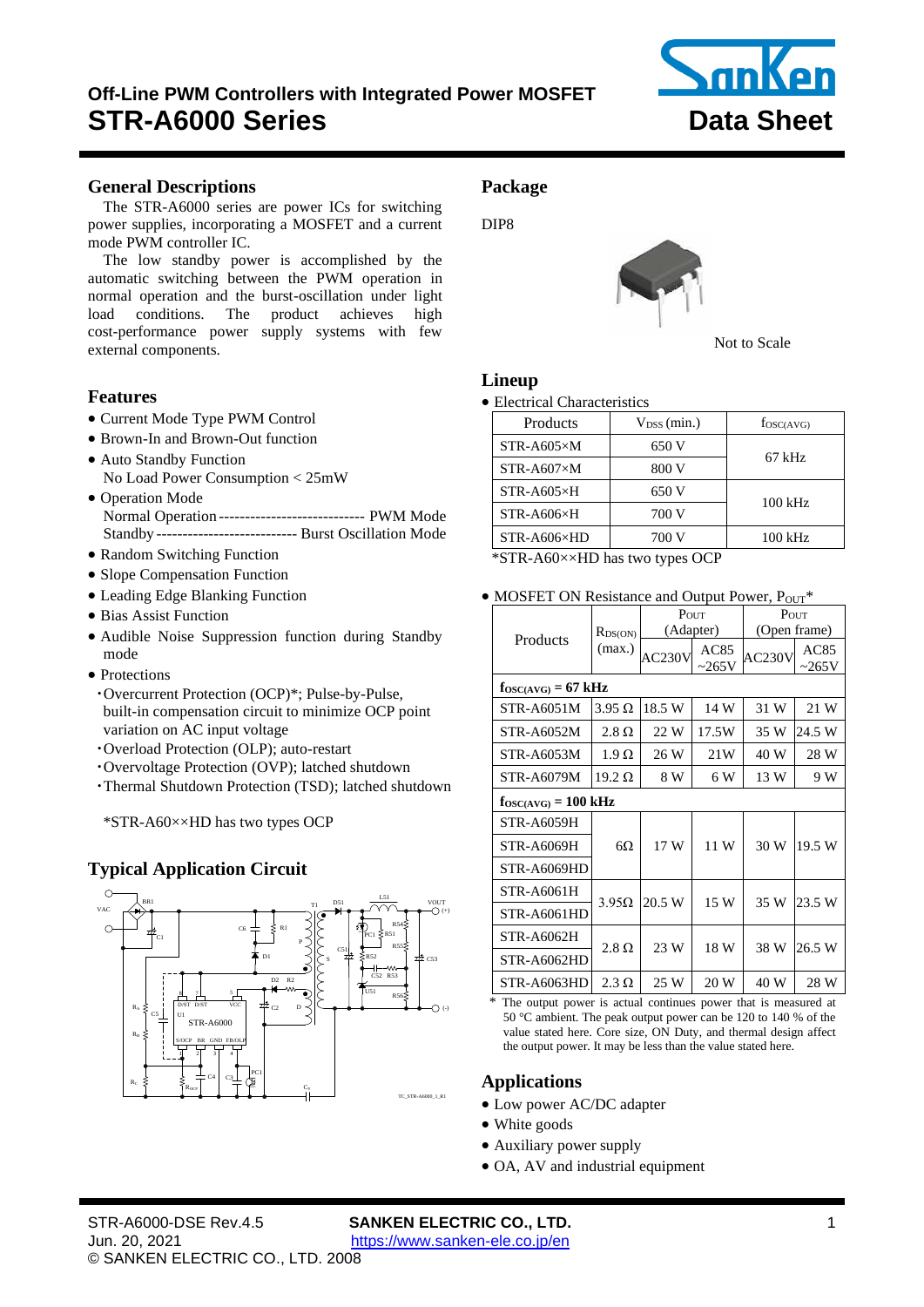# <span id="page-0-0"></span>**Off-Line PWM Controllers with Integrated Power MOSFET STR-A6000 Series Data Sheet**



# <span id="page-0-1"></span>**General Descriptions**

The [STR-A6000](#page-0-0) series are power ICs for switching power supplies, incorporating a MOSFET and a current mode PWM controller IC.

The low standby power is accomplished by the automatic switching between the PWM operation in normal operation and the burst-oscillation under light load conditions. The product achieves high cost-performance power supply systems with few external components.

# **Features**

- Current Mode Type PWM Control
- Brown-In and Brown-Out function
- Auto Standby Function No Load Power Consumption < 25mW
- Operation Mode Normal Operation ---------------------------- PWM Mode Standby --------------------------- Burst Oscillation Mode
- Random Switching Function
- Slope Compensation Function
- Leading Edge Blanking Function
- Bias Assist Function
- Audible Noise Suppression function during Standby mode
- Protections
	- ・Overcurrent Protection (OCP)\*; Pulse-by-Pulse, built-in compensation circuit to minimize OCP point variation on AC input voltage
	- ・Overload Protection (OLP); auto-restart
	- ・Overvoltage Protection (OVP); latched shutdown
- ・Thermal Shutdown Protection (TSD); latched shutdown

\*STR-A60××HD has two types OCP

# **Typical Application Circuit**



# **Package**

DIP8



Not to Scale

# **Lineup**

• Electrical Characteristics

| Products                                      | $V_{DSS}(min.)$                            | $f_{\rm OSC(AVG)}$ |
|-----------------------------------------------|--------------------------------------------|--------------------|
| $STR- A605 \times M$                          | 650 V                                      |                    |
| $STR- A607 \times M$                          | 800 V                                      | 67 kHz             |
| $STR- A605 \times H$                          | 650 V                                      | $100$ kHz          |
| STR-A606×H                                    | 700 V                                      |                    |
| STR-A606×HD                                   | 700 V                                      | $100$ kHz          |
| $1.0 \text{mm}$<br>TTT <sub>1</sub><br>$\sim$ | <b>Contract Contract Contract Contract</b> |                    |

\*STR-A60××HD has two types OCP

• MOSFET ON Resistance and Output Power,  $P_{OUT}$ \*

|                                        |               | POUT   |                     | POUT                |                     |  |  |  |
|----------------------------------------|---------------|--------|---------------------|---------------------|---------------------|--|--|--|
|                                        | $R_{DS(ON)}$  |        | (Adapter)           | (Open frame)        |                     |  |  |  |
| Products                               | (max.)        | AC230V | AC85<br>$\sim$ 265V | AC <sub>230</sub> V | AC85<br>$\sim$ 265V |  |  |  |
| $f_{\text{OSC(AVG)}} = 67 \text{ kHz}$ |               |        |                     |                     |                     |  |  |  |
| STR-A6051M                             | $3.95 \Omega$ | 18.5 W | 14 W                | 31 W                | 21 W                |  |  |  |
| STR-A6052M                             | $2.8 \Omega$  | 22 W   | 17.5W               | 35 W                | 24.5 W              |  |  |  |
| STR-A6053M                             | $1.9 \Omega$  | 26 W   | 21W                 | 40 W                | 28 W                |  |  |  |
| STR-A6079M                             | $19.2 \Omega$ | 8 W    | 6 W                 | 13 W                | 9 W                 |  |  |  |
| $f_{OSC(AVG)} = 100 \text{ kHz}$       |               |        |                     |                     |                     |  |  |  |
| STR-A6059H                             |               |        |                     |                     |                     |  |  |  |
| <b>STR-A6069H</b>                      | $6\Omega$     | 17 W   | 11 W                | 30 W                | 19.5 W              |  |  |  |
| STR-A6069HD                            |               |        |                     |                     |                     |  |  |  |
| <b>STR-A6061H</b>                      |               |        |                     |                     |                     |  |  |  |
| STR-A6061HD                            | $3.95\Omega$  | 20.5 W | 15 W                | 35 W                | 23.5 W              |  |  |  |
| STR-A6062H                             |               |        |                     |                     |                     |  |  |  |
| STR-A6062HD                            | $2.8 \Omega$  | 23 W   | 18 W                | 38 W                | 26.5 W              |  |  |  |
| STR-A6063HD                            | $2.3 \Omega$  | 25 W   | 20 W                | 40 W                | 28 W                |  |  |  |

\* The output power is actual continues power that is measured at 50 °C ambient. The peak output power can be 120 to 140 % of the value stated here. Core size, ON Duty, and thermal design affect the output power. It may be less than the value stated here.

# **Applications**

- Low power AC/DC adapter
- White goods
- Auxiliary power supply
- OA, AV and industrial equipment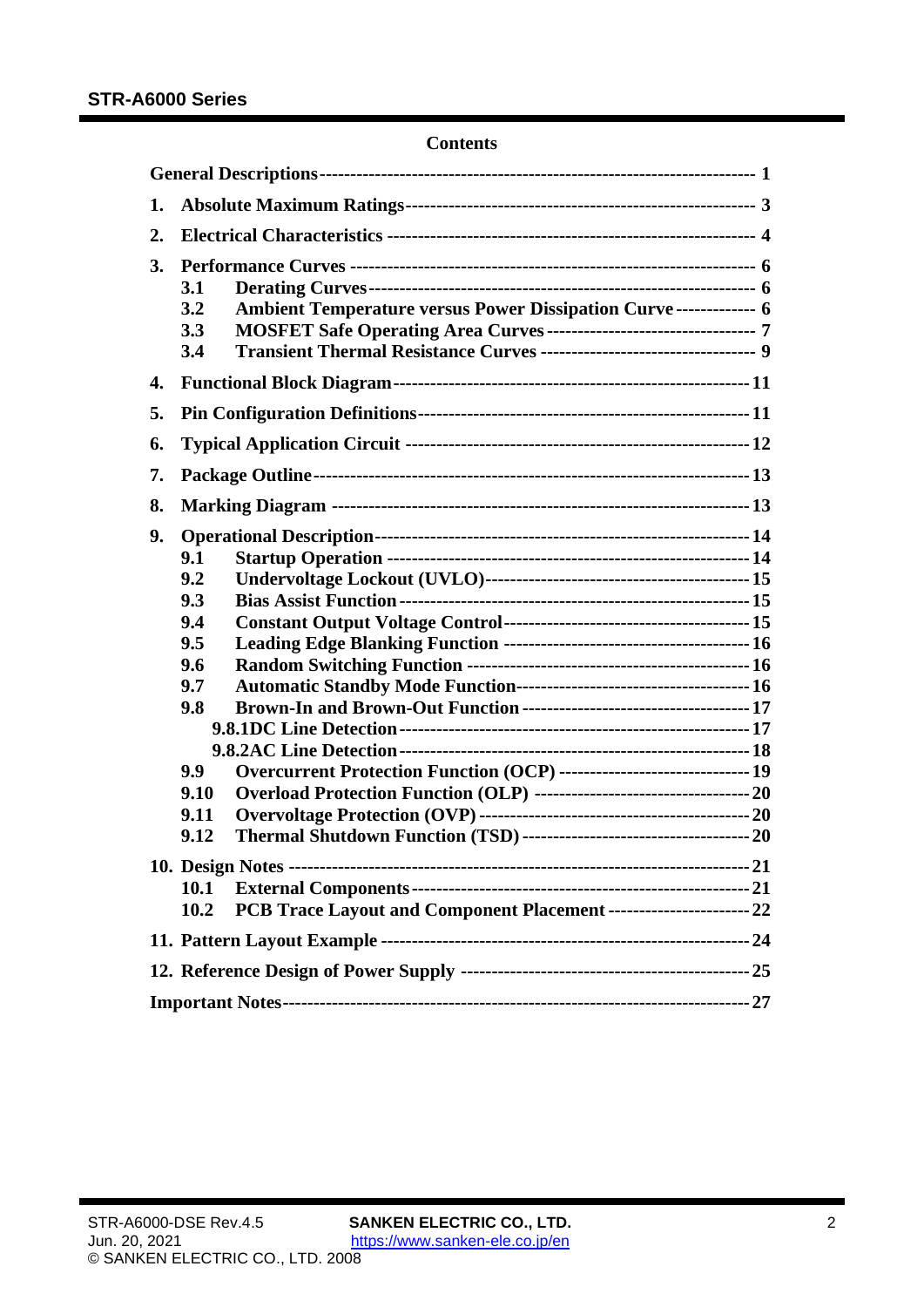## **Contents**

| 1. |                                                                                                                                                                                    |  |
|----|------------------------------------------------------------------------------------------------------------------------------------------------------------------------------------|--|
| 2. |                                                                                                                                                                                    |  |
| 3. | 3.1<br><b>Ambient Temperature versus Power Dissipation Curve ------------- 6</b><br>3.2<br>3.3<br>Transient Thermal Resistance Curves ----------------------------------- 9<br>3.4 |  |
| 4. |                                                                                                                                                                                    |  |
| 5. |                                                                                                                                                                                    |  |
| 6. |                                                                                                                                                                                    |  |
| 7. |                                                                                                                                                                                    |  |
| 8. |                                                                                                                                                                                    |  |
| 9. | 9.1<br>9.2<br>9.3<br>9.4<br>9.5<br>9.6<br>9.7<br>9.8<br>Overcurrent Protection Function (OCP) ------------------------------ 19<br>9.9<br>9.10<br>9.11<br>9.12                     |  |
|    |                                                                                                                                                                                    |  |
|    | 10.1                                                                                                                                                                               |  |
|    | PCB Trace Layout and Component Placement ------------------------- 22<br>10.2                                                                                                      |  |
|    |                                                                                                                                                                                    |  |
|    |                                                                                                                                                                                    |  |
|    |                                                                                                                                                                                    |  |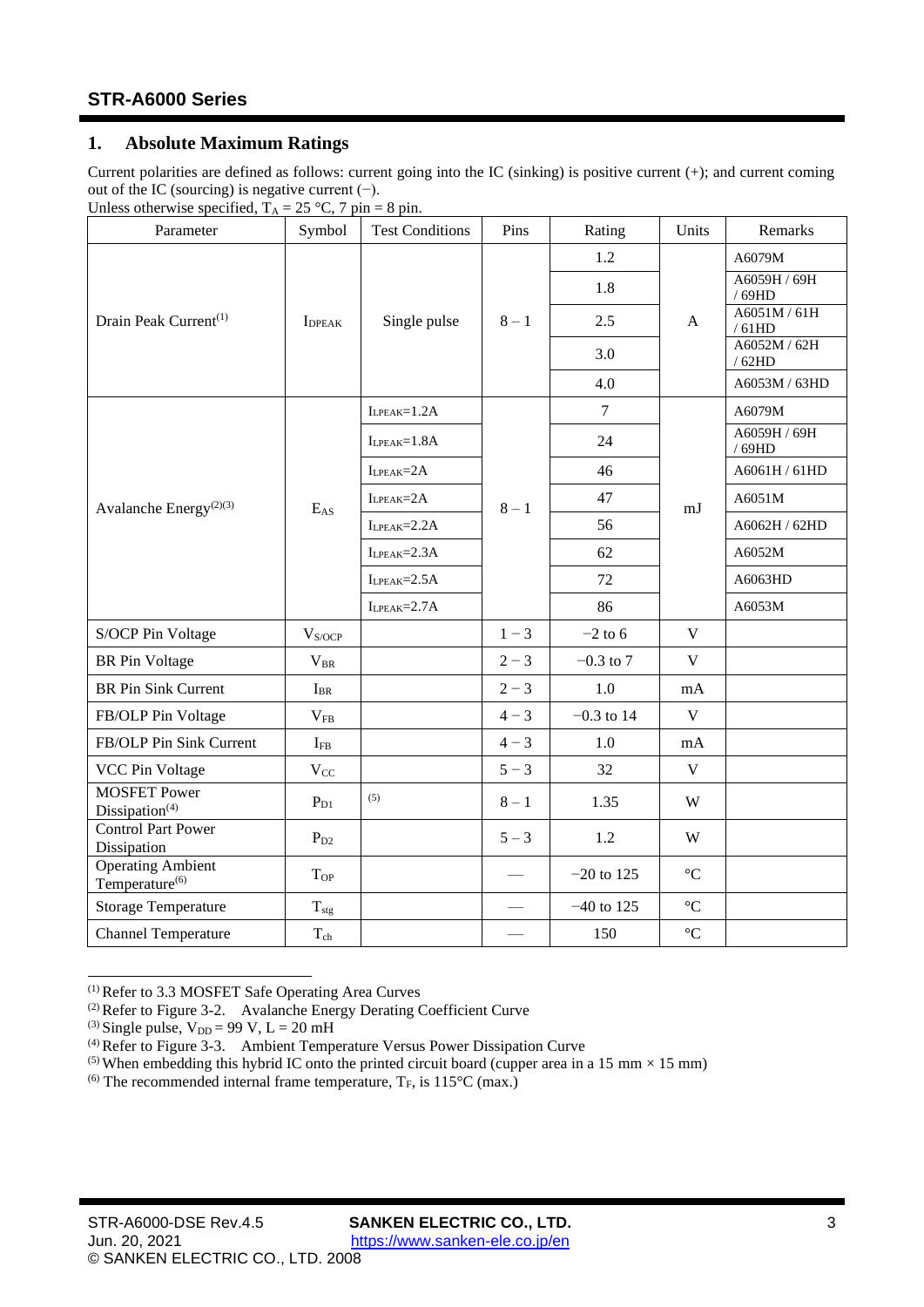# <span id="page-2-0"></span>**1. Absolute Maximum Ratings**

Current polarities are defined as follows: current going into the IC (sinking) is positive current (+); and current coming out of the IC (sourcing) is negative current  $(−)$ .

| Unless otherwise specified, $T_A = 25$ °C, 7 pin = 8 pin. |  |  |  |
|-----------------------------------------------------------|--|--|--|
|                                                           |  |  |  |

| Parameter                                              | Symbol           | <b>Test Conditions</b> | Pins    | Rating         | Units             | Remarks               |
|--------------------------------------------------------|------------------|------------------------|---------|----------------|-------------------|-----------------------|
|                                                        |                  |                        |         | 1.2            |                   | A6079M                |
|                                                        |                  |                        |         | 1.8            |                   | A6059H / 69H<br>/69HD |
| Drain Peak Current <sup>(1)</sup>                      | <b>I</b> DPEAK   | Single pulse           | $8-1$   | 2.5            | A                 | A6051M / 61H<br>/61HD |
|                                                        |                  |                        |         | 3.0            |                   | A6052M / 62H<br>/62HD |
|                                                        |                  |                        |         | 4.0            |                   | A6053M / 63HD         |
|                                                        |                  | $I_{LPEAK} = 1.2A$     |         | $\overline{7}$ |                   | A6079M                |
|                                                        |                  | $I_{LPEAK}=1.8A$       |         | 24             |                   | A6059H / 69H<br>/69HD |
|                                                        |                  | $I_{LPEAK} = 2A$       |         | 46             |                   | A6061H / 61HD         |
| Avalanche Energy <sup>(2)(3)</sup>                     | $E_{AS}$         | $I_{LPEAK} = 2A$       | $8-1$   | 47             | mJ                | A6051M                |
|                                                        |                  | $I_{LPEAK} = 2.2A$     |         | 56             |                   | A6062H / 62HD         |
|                                                        |                  | $I_{LPEAK} = 2.3A$     |         | 62             |                   | A6052M                |
|                                                        |                  | $I_{LPEAK} = 2.5A$     |         | 72             |                   | A6063HD               |
|                                                        |                  | $I_{LPEAK} = 2.7A$     |         | 86             |                   | A6053M                |
| S/OCP Pin Voltage                                      | $V_{S/OCP}$      |                        | $1 - 3$ | $-2$ to 6      | $\mathbf V$       |                       |
| <b>BR</b> Pin Voltage                                  | $V_{BR}$         |                        | $2 - 3$ | $-0.3$ to 7    | $\mathbf V$       |                       |
| <b>BR Pin Sink Current</b>                             | $I_{BR}$         |                        | $2 - 3$ | 1.0            | mA                |                       |
| FB/OLP Pin Voltage                                     | $V_{FB}$         |                        | $4 - 3$ | $-0.3$ to 14   | $\mathbf V$       |                       |
| FB/OLP Pin Sink Current                                | $I_{FB}$         |                        | $4 - 3$ | 1.0            | mA                |                       |
| <b>VCC Pin Voltage</b>                                 | $V_{CC}$         |                        | $5 - 3$ | 32             | $\mathbf{V}$      |                       |
| <b>MOSFET Power</b><br>Dissipation $(4)$               | $P_{D1}$         | (5)                    | $8-1$   | 1.35           | W                 |                       |
| <b>Control Part Power</b><br>Dissipation               | $P_{D2}$         |                        | $5 - 3$ | 1.2            | W                 |                       |
| <b>Operating Ambient</b><br>Temperature <sup>(6)</sup> | $T_{\rm OP}$     |                        |         | $-20$ to 125   | $\rm ^{\circ}C$   |                       |
| <b>Storage Temperature</b>                             | $T_{\text{stg}}$ |                        |         | $-40$ to 125   | $^{\circ}{\rm C}$ |                       |
| <b>Channel Temperature</b>                             | $T_{ch}$         |                        |         | 150            | $^{\circ}C$       |                       |

<sup>(1)</sup> Refer to [3.3](#page-6-0) [MOSFET Safe Operating Area Curves](#page-6-0)

<sup>(2)</sup> Refer to Figure 3-2. [Avalanche Energy Derating Coefficient Curve](#page-5-3)

<sup>&</sup>lt;sup>(3)</sup> Single pulse,  $V_{DD} = 99$  V,  $L = 20$  mH

<sup>(4)</sup> Refer to Figure 3-3. [Ambient Temperature Versus Power Dissipation Curve](#page-5-4)

<sup>&</sup>lt;sup>(5)</sup> When embedding this hybrid IC onto the printed circuit board (cupper area in a 15 mm  $\times$  15 mm)

<sup>&</sup>lt;sup>(6)</sup> The recommended internal frame temperature,  $T_F$ , is 115<sup>o</sup>C (max.)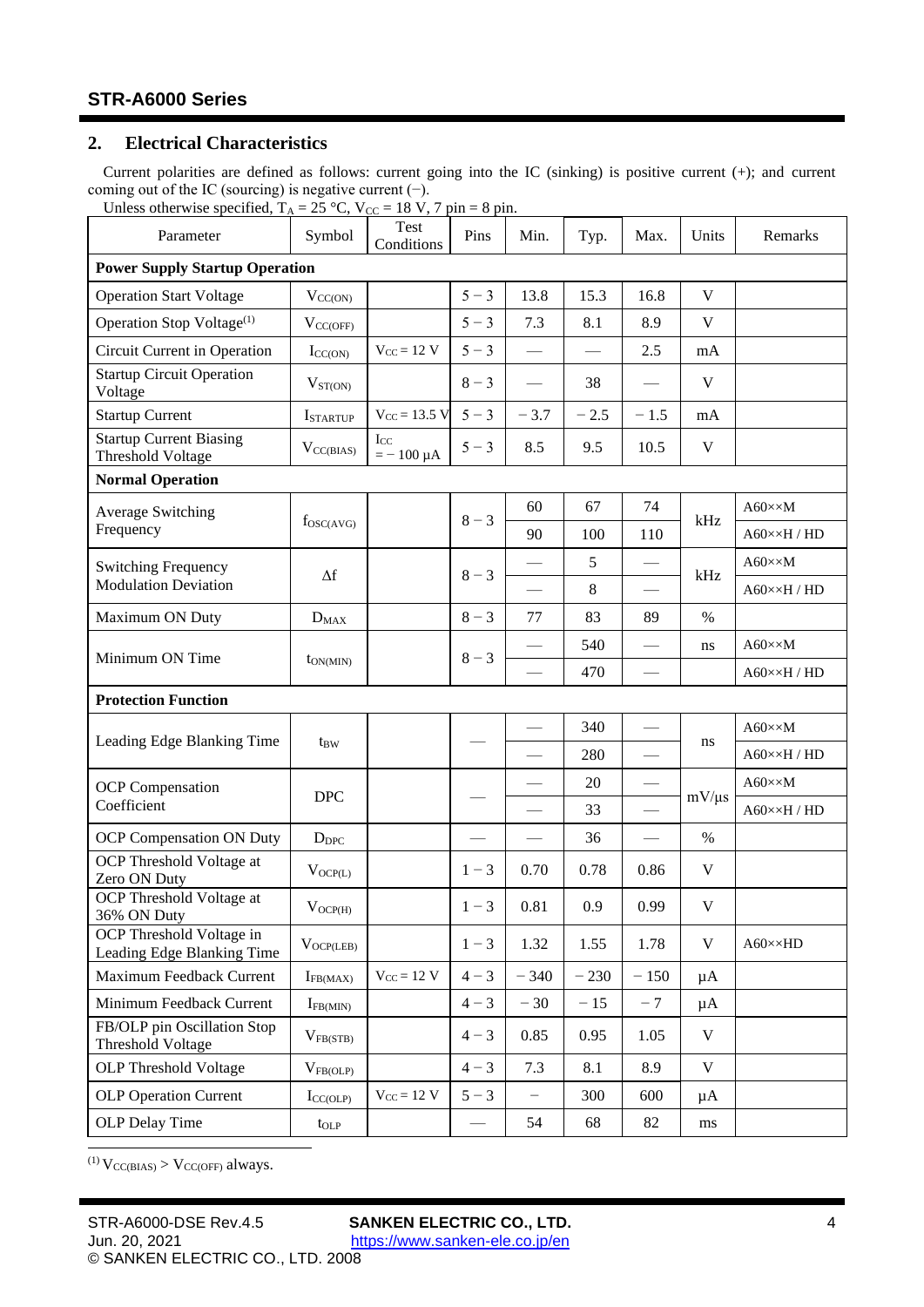# <span id="page-3-0"></span>**2. Electrical Characteristics**

Current polarities are defined as follows: current going into the IC (sinking) is positive current (+); and current coming out of the IC (sourcing) is negative current (−).

<span id="page-3-6"></span><span id="page-3-5"></span><span id="page-3-4"></span><span id="page-3-3"></span><span id="page-3-2"></span><span id="page-3-1"></span>Unless otherwise specified,  $T_A = 25$  °C,  $V_{CC} = 18$  V, 7 pin = 8 pin.

| Parameter                                                  | Symbol             | Test<br>Conditions   | Pins                            | Min.                     | Typ.   | Max.                     | Units       | Remarks                    |
|------------------------------------------------------------|--------------------|----------------------|---------------------------------|--------------------------|--------|--------------------------|-------------|----------------------------|
| <b>Power Supply Startup Operation</b>                      |                    |                      |                                 |                          |        |                          |             |                            |
| <b>Operation Start Voltage</b>                             | $V_{CC(ON)}$       |                      | $5 - 3$                         | 13.8                     | 15.3   | 16.8                     | $\mathbf V$ |                            |
| Operation Stop Voltage <sup>(1)</sup>                      | $V_{CC(OFF)}$      |                      | $5 - 3$                         | 7.3                      | 8.1    | 8.9                      | V           |                            |
| Circuit Current in Operation                               | $I_{CC(ON)}$       | $V_{CC} = 12 V$      | $5 - 3$                         | $\overline{\phantom{0}}$ |        | 2.5                      | mA          |                            |
| <b>Startup Circuit Operation</b><br>Voltage                | $V_{ST(ON)}$       |                      | $8 - 3$                         |                          | 38     |                          | V           |                            |
| <b>Startup Current</b>                                     | <b>I</b> STARTUP   | $V_{CC} = 13.5 V$    | $5 - 3$                         | $-3.7$                   | $-2.5$ | $-1.5$                   | mA          |                            |
| <b>Startup Current Biasing</b><br><b>Threshold Voltage</b> | $V_{CC(BIAS)}$     | Icc<br>$=-100 \mu A$ | $5 - 3$                         | 8.5                      | 9.5    | 10.5                     | V           |                            |
| <b>Normal Operation</b>                                    |                    |                      |                                 |                          |        |                          |             |                            |
| Average Switching                                          | $f_{\rm OSC(AVG)}$ |                      | $8 - 3$                         | 60                       | 67     | 74                       | kHz         | $A60 \times \times M$      |
| Frequency                                                  |                    |                      |                                 | 90                       | 100    | 110                      |             | $A60 \times \times H / HD$ |
| <b>Switching Frequency</b>                                 | $\Delta f$         |                      | $8 - 3$                         |                          | 5      | $\overline{\phantom{0}}$ | kHz         | $A60 \times \times M$      |
| <b>Modulation Deviation</b>                                |                    |                      |                                 |                          | 8      | $\overline{\phantom{0}}$ |             | $A60 \times \times H / HD$ |
| Maximum ON Duty                                            | $D_{MAX}$          |                      | $8 - 3$                         | 77                       | 83     | 89                       | $\%$        |                            |
|                                                            |                    |                      | $8 - 3$                         |                          | 540    |                          | ns          | $A60 \times \times M$      |
| Minimum ON Time                                            | $t_{ON(MIN)}$      |                      |                                 |                          | 470    | $\overline{\phantom{0}}$ |             | $A60 \times \times H / HD$ |
| <b>Protection Function</b>                                 |                    |                      |                                 |                          |        |                          |             |                            |
|                                                            |                    |                      |                                 |                          | 340    |                          |             | $A60 \times \times M$      |
| Leading Edge Blanking Time                                 | t <sub>BW</sub>    |                      |                                 |                          | 280    | $\overline{\phantom{0}}$ | ns          | $A60 \times \times H / HD$ |
| <b>OCP</b> Compensation                                    |                    |                      |                                 |                          | 20     |                          |             | $A60 \times \times M$      |
| Coefficient                                                | <b>DPC</b>         |                      |                                 |                          | 33     | $\overline{\phantom{0}}$ | $mV/\mu s$  | $A60 \times \times H / HD$ |
| OCP Compensation ON Duty                                   | $D_{DPC}$          |                      |                                 |                          | 36     | $\overline{\phantom{0}}$ | $\%$        |                            |
| OCP Threshold Voltage at<br>Zero ON Duty                   | $V_{OCP(L)}$       |                      | $1 - 3$                         | 0.70                     | 0.78   | 0.86                     | V           |                            |
| OCP Threshold Voltage at<br>36% ON Duty                    | $V_{OCP(H)}$       |                      | $1 - 3$                         | 0.81                     | 0.9    | 0.99                     | $\mathbf V$ |                            |
| OCP Threshold Voltage in<br>Leading Edge Blanking Time     | $V_{OCP(LEB)}$     |                      | $1 - 3$                         | 1.32                     | 1.55   | 1.78                     | $\mathbf V$ | $A60 \times \times HD$     |
| Maximum Feedback Current                                   | $I_{FB(MAX)}$      | $V_{CC} = 12 V$      | $4 - 3$                         | $-340$                   | $-230$ | $-150$                   | $\mu$ A     |                            |
| Minimum Feedback Current                                   | $I_{FB(MIN)}$      |                      | $4 - 3$                         | $-30$                    | $-15$  | $-7$                     | μA          |                            |
| FB/OLP pin Oscillation Stop<br><b>Threshold Voltage</b>    | $V_{FB(STB)}$      |                      | $4 - 3$                         | 0.85                     | 0.95   | 1.05                     | $\mathbf V$ |                            |
| <b>OLP</b> Threshold Voltage                               | $V_{FB(OLP)}$      |                      | $4 - 3$                         | 7.3                      | 8.1    | 8.9                      | V           |                            |
| <b>OLP</b> Operation Current                               | $I_{CC(OLP)}$      | $V_{CC} = 12 V$      | $5 - 3$                         | -                        | 300    | 600                      | $\mu A$     |                            |
| OLP Delay Time                                             | $t_{OLP}$          |                      | $\overbrace{\qquad \qquad }^{}$ | 54                       | 68     | 82                       | ms          |                            |

<span id="page-3-12"></span><span id="page-3-11"></span><span id="page-3-10"></span><span id="page-3-9"></span><span id="page-3-8"></span><span id="page-3-7"></span>(1)  $V_{CC(BIAS)} > V_{CC(OFF)}$  always.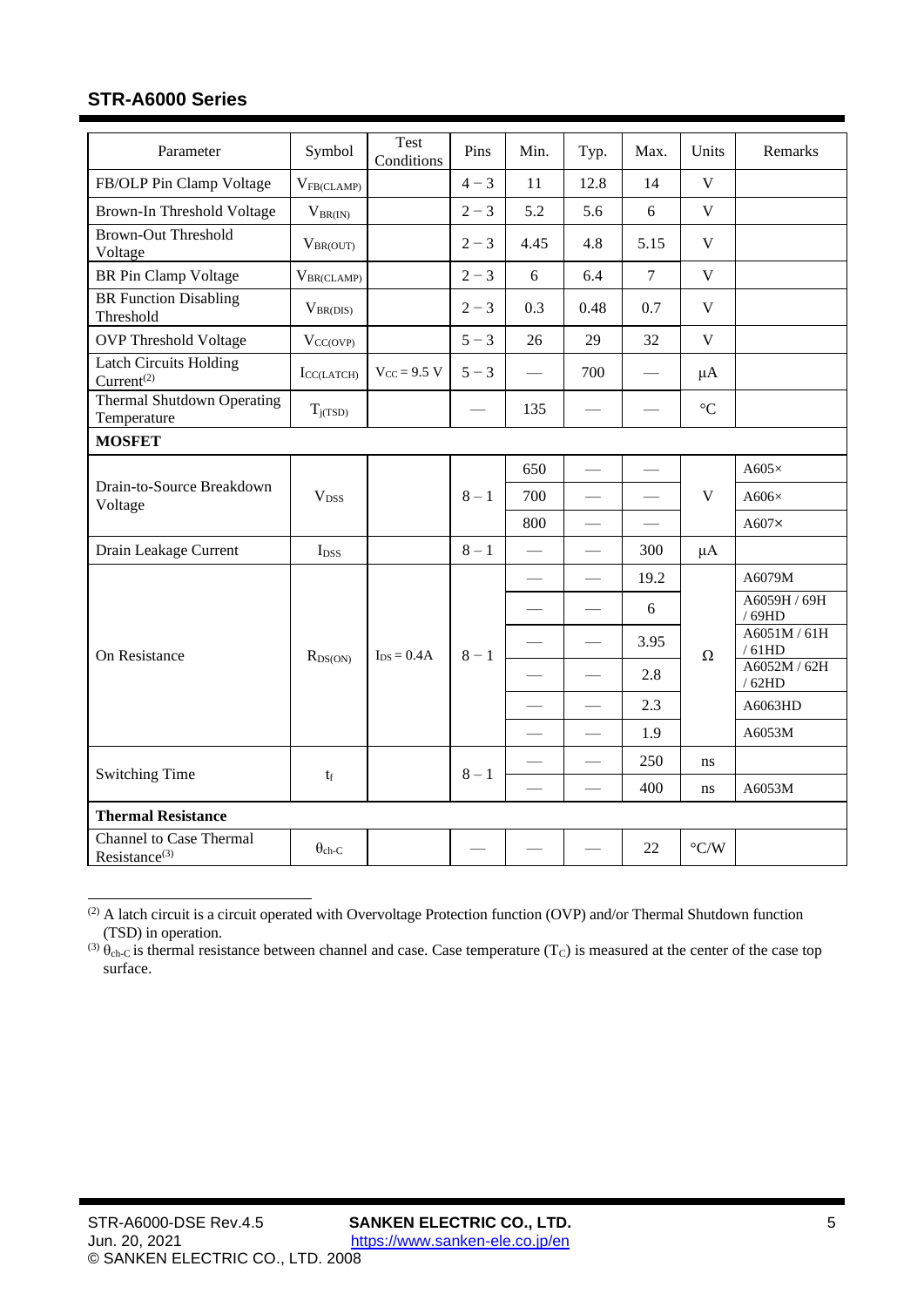<span id="page-4-5"></span><span id="page-4-4"></span><span id="page-4-3"></span><span id="page-4-2"></span><span id="page-4-1"></span><span id="page-4-0"></span>

| Parameter                                                   | Symbol                 | Test<br>Conditions         | Pins    | Min. | Typ.                     | Max.                     | Units                   | Remarks               |
|-------------------------------------------------------------|------------------------|----------------------------|---------|------|--------------------------|--------------------------|-------------------------|-----------------------|
| FB/OLP Pin Clamp Voltage                                    | $V_{FB(CLAMP)}$        |                            | $4 - 3$ | 11   | 12.8                     | 14                       | $\mathbf{V}$            |                       |
| Brown-In Threshold Voltage                                  | $V_{BR(IN)}$           |                            | $2 - 3$ | 5.2  | 5.6                      | 6                        | $\overline{\mathbf{V}}$ |                       |
| <b>Brown-Out Threshold</b><br>Voltage                       | $V_{BR(OUT)}$          |                            | $2 - 3$ | 4.45 | 4.8                      | 5.15                     | $\mathbf V$             |                       |
| <b>BR</b> Pin Clamp Voltage                                 | $V_{BR(CLAMP)}$        |                            | $2 - 3$ | 6    | 6.4                      | $\overline{7}$           | $\mathbf V$             |                       |
| <b>BR</b> Function Disabling<br>Threshold                   | $V_{BR(DIS)}$          |                            | $2 - 3$ | 0.3  | 0.48                     | 0.7                      | V                       |                       |
| <b>OVP</b> Threshold Voltage                                | $V_{CC(OVP)}$          |                            | $5 - 3$ | 26   | 29                       | 32                       | $\overline{\mathbf{V}}$ |                       |
| <b>Latch Circuits Holding</b><br>Current <sup>(2)</sup>     | $I_{\text{CC(LATCH)}}$ | $V_{CC} = 9.5 V$           | $5 - 3$ |      | 700                      | $\overline{\phantom{0}}$ | $\mu A$                 |                       |
| <b>Thermal Shutdown Operating</b><br>Temperature            | $T_{i(TSD)}$           |                            |         | 135  |                          |                          | $\rm ^{\circ}C$         |                       |
| <b>MOSFET</b>                                               |                        |                            |         |      |                          |                          |                         |                       |
|                                                             | $V_{DSS}$              |                            | $8-1$   | 650  |                          |                          | V                       | A605 $\times$         |
| Drain-to-Source Breakdown<br>Voltage                        |                        |                            |         | 700  |                          |                          |                         | $A606\times$          |
|                                                             |                        |                            |         | 800  | $\overline{\phantom{0}}$ |                          |                         | $A607\times$          |
| Drain Leakage Current                                       | $I_{DSS}$              |                            | $8-1$   |      |                          | 300                      | $\mu A$                 |                       |
|                                                             |                        | $\text{Ins} = 0.4\text{A}$ |         |      |                          | 19.2                     |                         | A6079M                |
|                                                             |                        |                            |         |      |                          | 6                        |                         | A6059H / 69H<br>/69HD |
| On Resistance                                               | $R_{DS(ON)}$           |                            | $8 - 1$ |      |                          | 3.95                     | $\Omega$                | A6051M / 61H<br>/61HD |
|                                                             |                        |                            |         |      | $\frac{1}{1}$            | 2.8                      |                         | A6052M / 62H<br>/62HD |
|                                                             |                        |                            |         |      |                          | 2.3                      |                         | A6063HD               |
|                                                             |                        |                            |         |      | $\overline{\phantom{0}}$ | 1.9                      |                         | A6053M                |
|                                                             |                        |                            | $8-1$   |      |                          | 250                      | ns.                     |                       |
| <b>Switching Time</b>                                       | $t_f$                  |                            |         |      |                          | 400                      | ns                      | A6053M                |
| <b>Thermal Resistance</b>                                   |                        |                            |         |      |                          |                          |                         |                       |
| <b>Channel to Case Thermal</b><br>Resistance <sup>(3)</sup> | $\theta_{ch-C}$        |                            |         |      |                          | 22                       | $\rm ^{\circ} C/W$      |                       |

<sup>(2)</sup> A latch circuit is a circuit operated with Overvoltage Protection function (OVP) and/or Thermal Shutdown function (TSD) in operation.

(3)  $\theta_{ch-C}$  is thermal resistance between channel and case. Case temperature (T<sub>C</sub>) is measured at the center of the case top surface.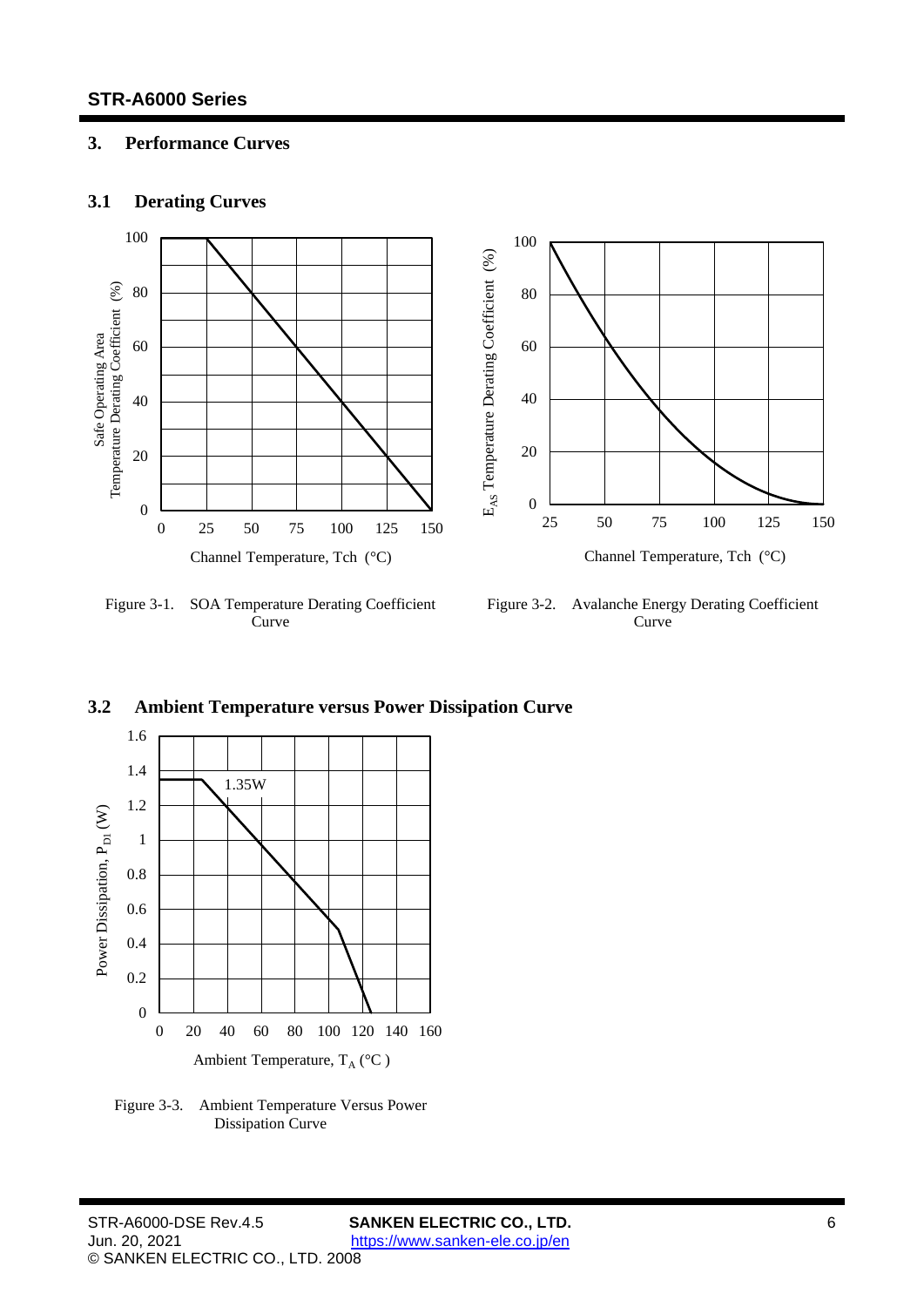# <span id="page-5-1"></span><span id="page-5-0"></span>**3. Performance Curves**

# **3.1 Derating Curves**



<span id="page-5-5"></span>Figure 3-1. SOA Temperature Derating Coefficient Curve

<span id="page-5-3"></span>Figure 3-2. Avalanche Energy Derating Coefficient Curve



<span id="page-5-4"></span>Figure 3-3. Ambient Temperature Versus Power Dissipation Curve

# <span id="page-5-2"></span>**3.2 Ambient Temperature versus Power Dissipation Curve**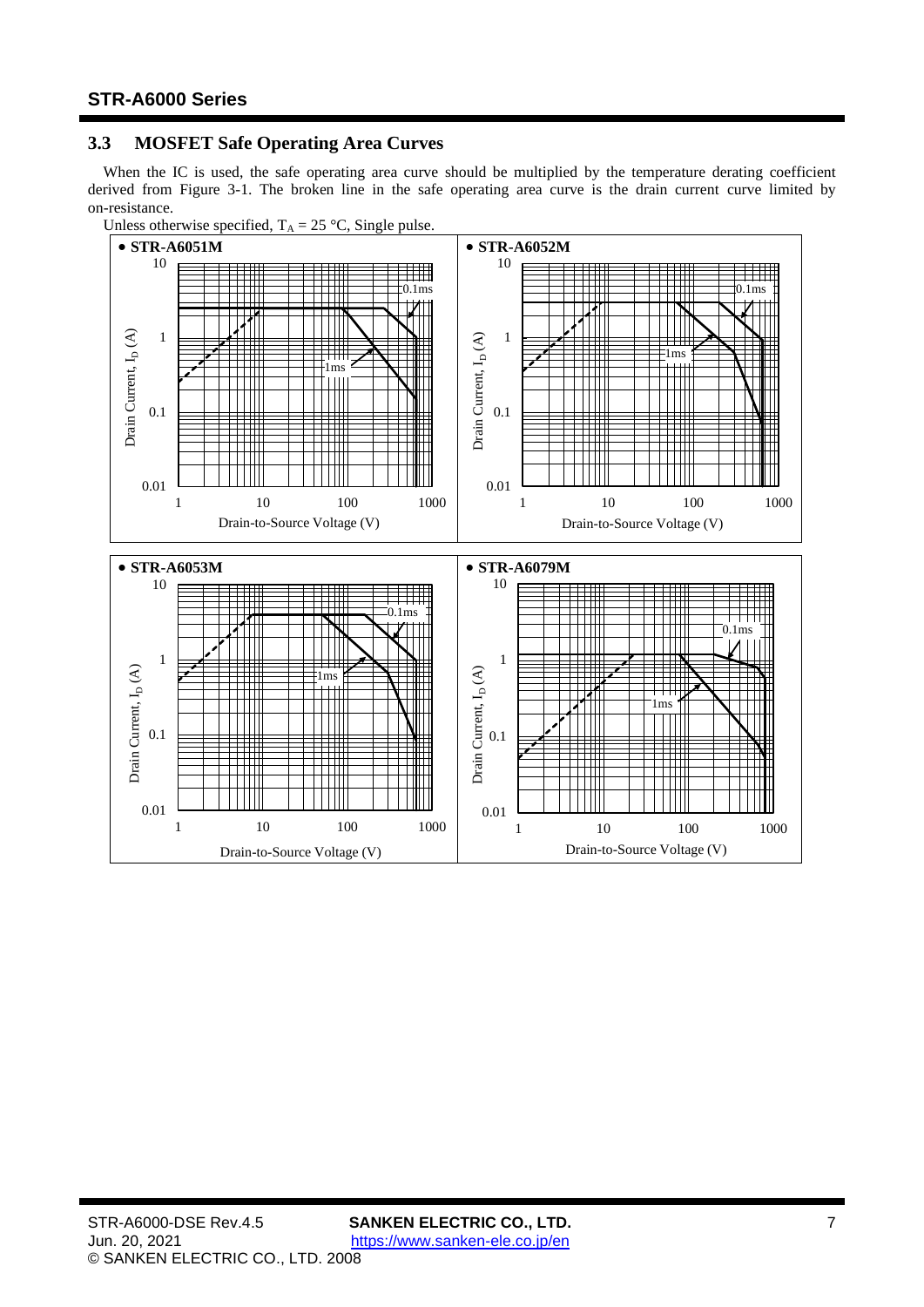# <span id="page-6-0"></span>**3.3 MOSFET Safe Operating Area Curves**

When the IC is used, the safe operating area curve should be multiplied by the temperature derating coefficient derived from [Figure 3-1.](#page-5-5) The broken line in the safe operating area curve is the drain current curve limited by on-resistance.



Unless otherwise specified,  $T_A = 25 \degree C$ , Single pulse.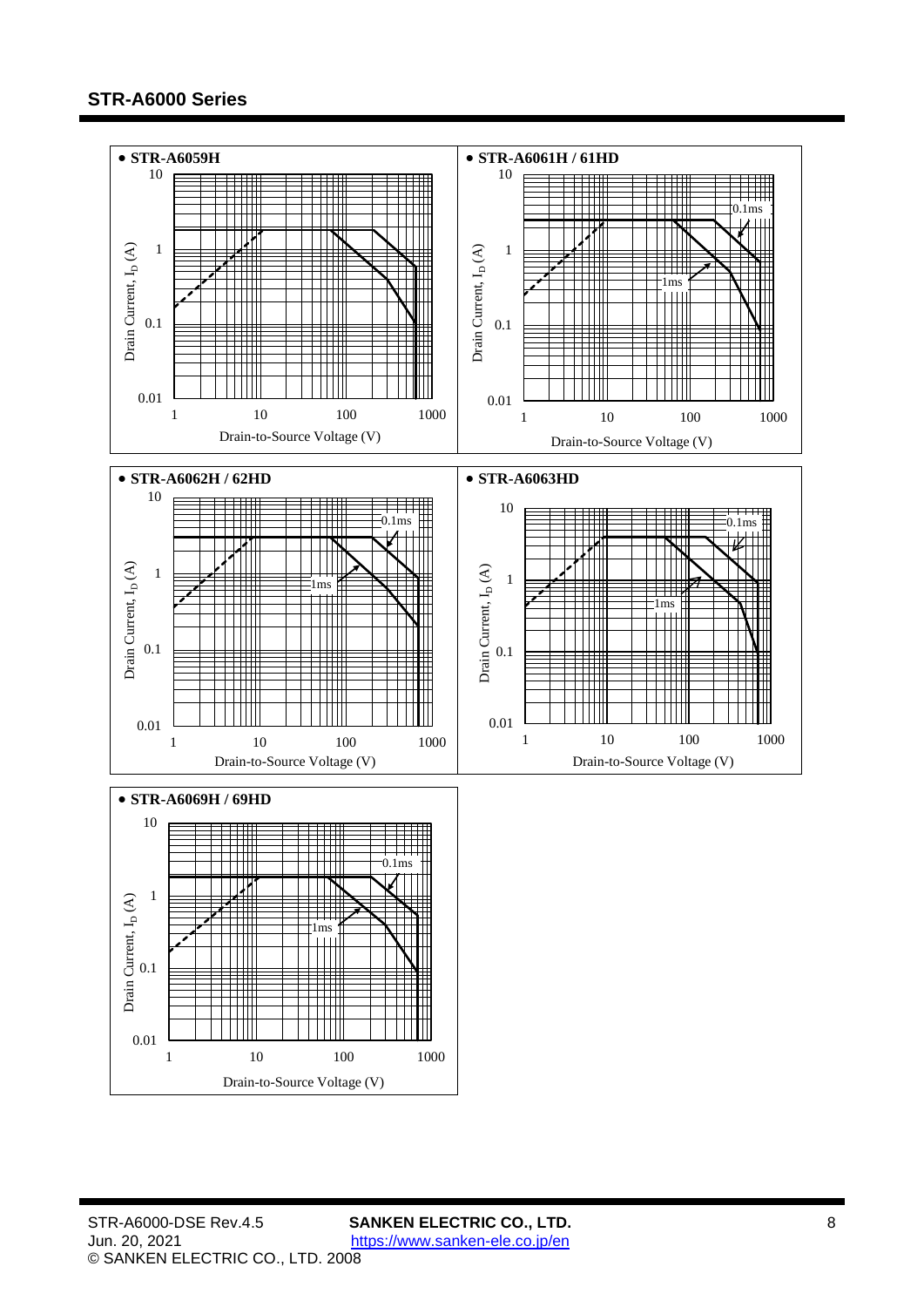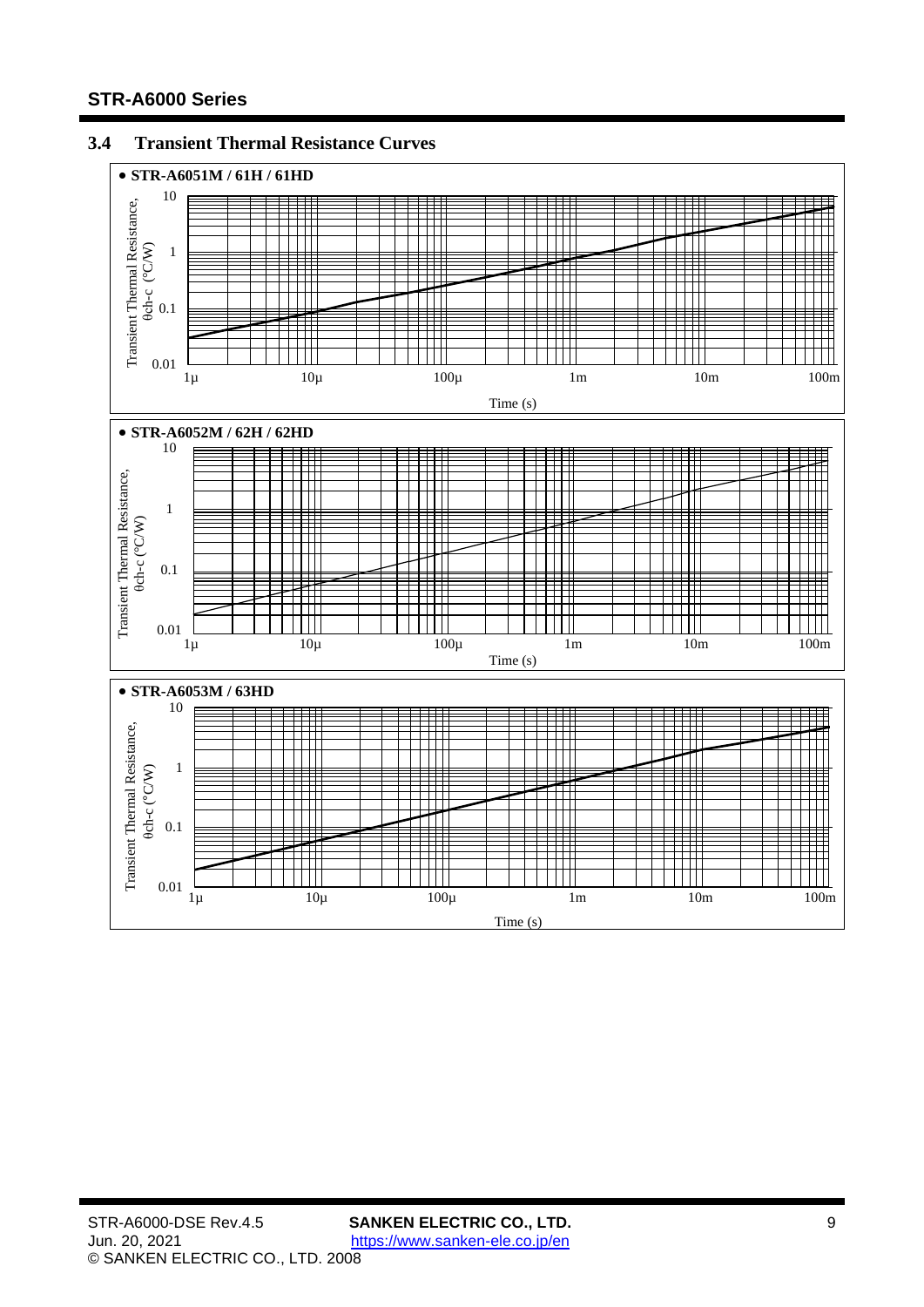# <span id="page-8-0"></span>**3.4 Transient Thermal Resistance Curves**

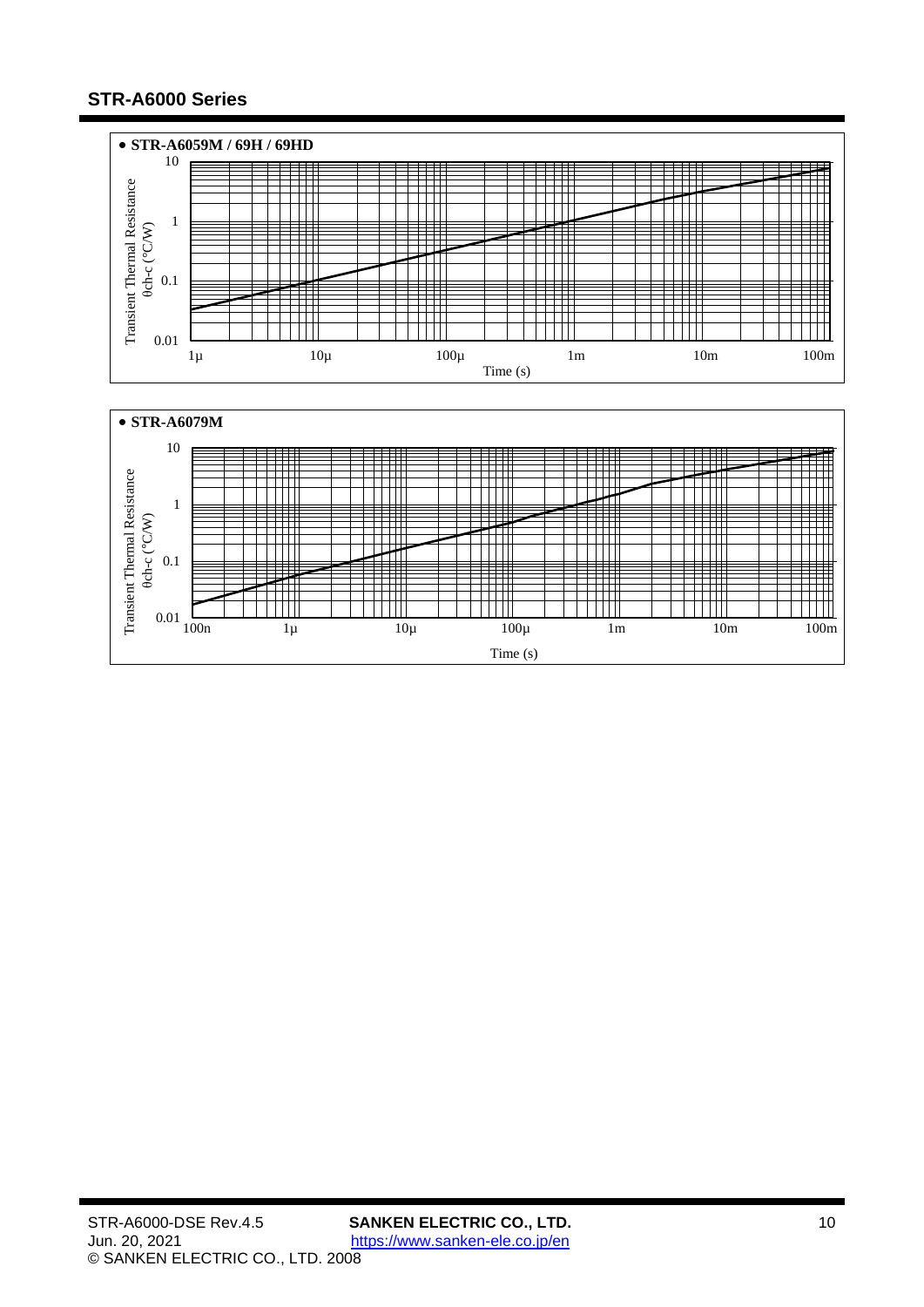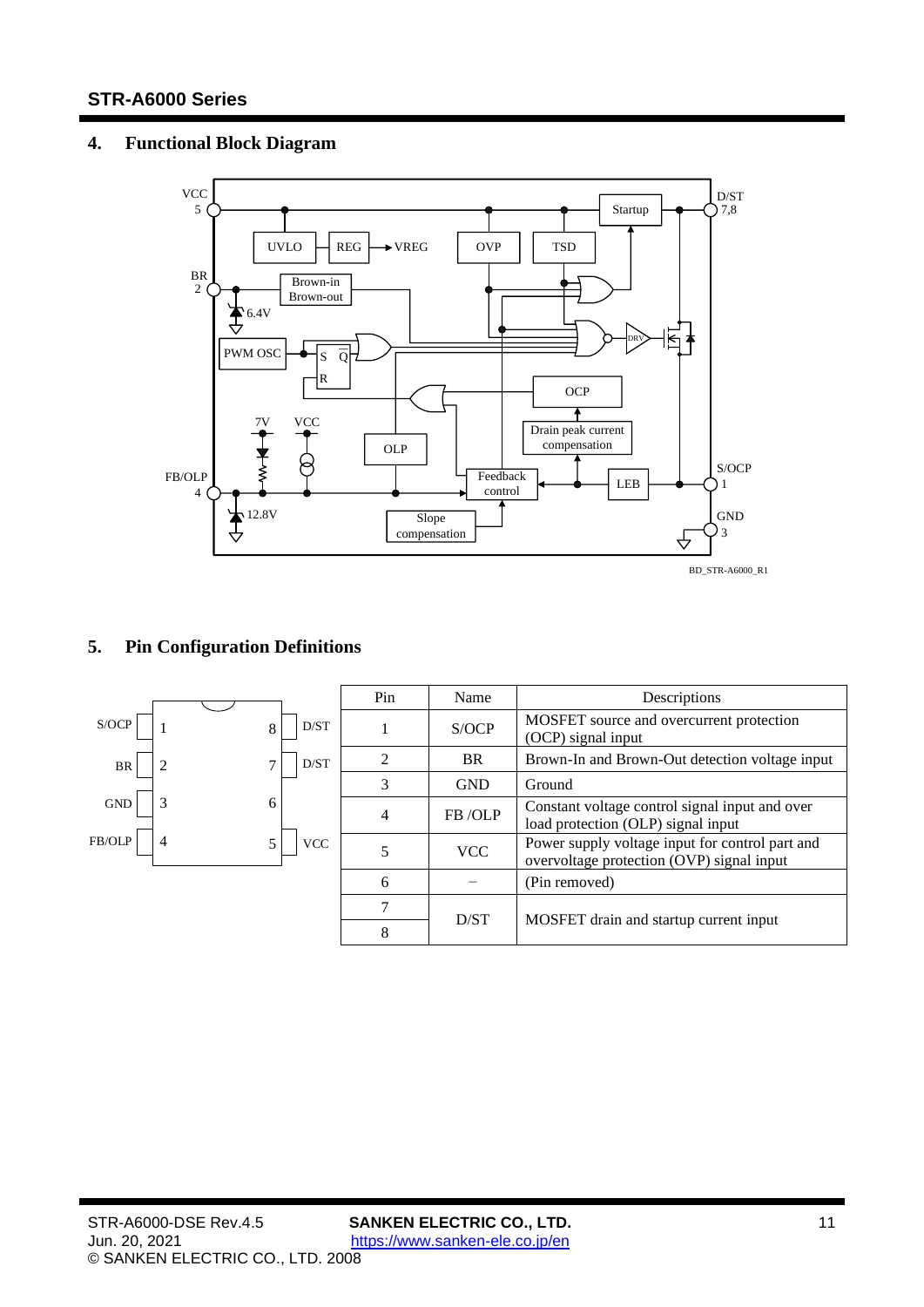# <span id="page-10-0"></span>**4. Functional Block Diagram**



# <span id="page-10-1"></span>**5. Pin Configuration Definitions**

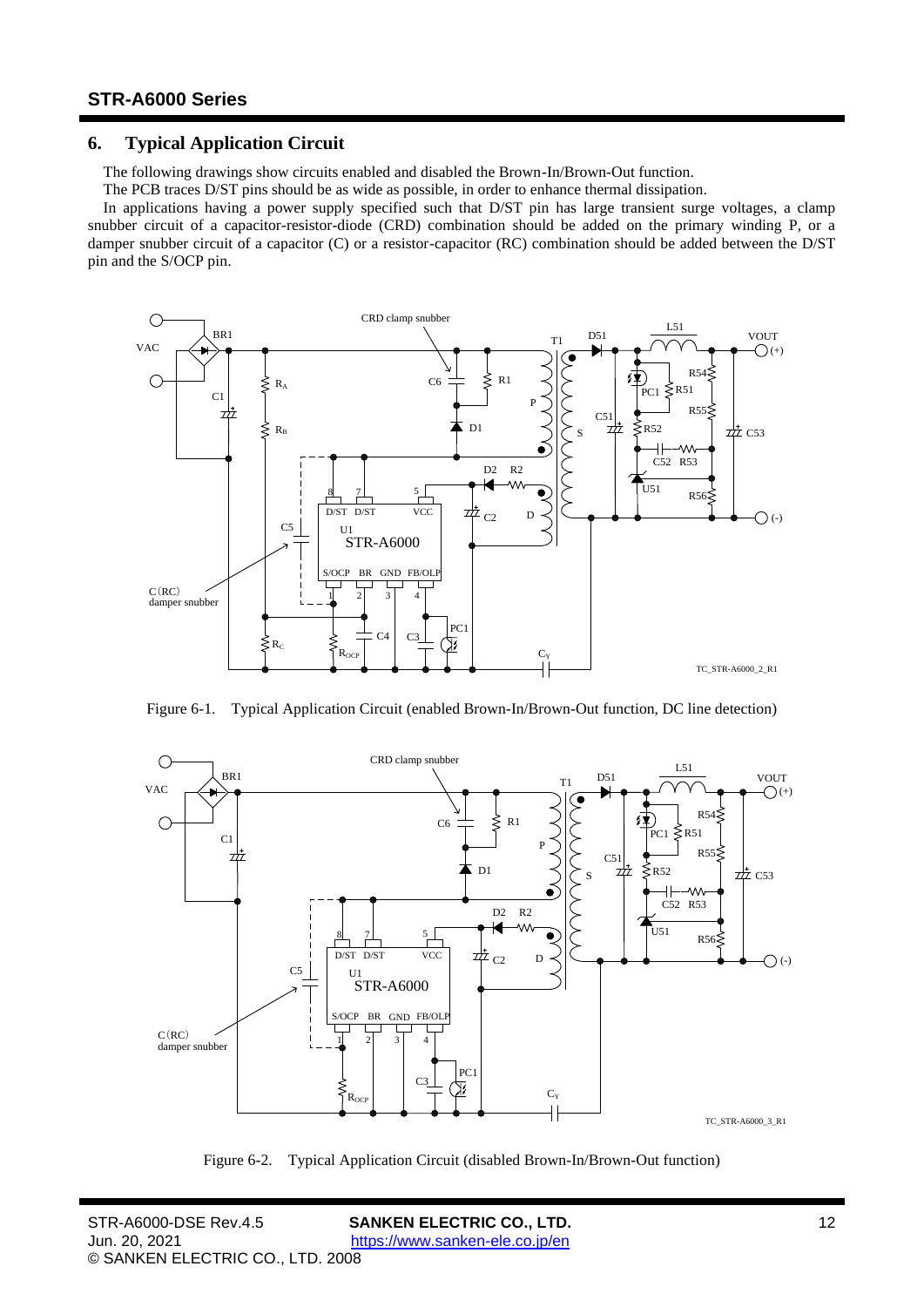## <span id="page-11-0"></span>**6. Typical Application Circuit**

The following drawings show circuits enabled and disabled the Brown-In/Brown-Out function.

The PCB traces D/ST pins should be as wide as possible, in order to enhance thermal dissipation.

In applications having a power supply specified such that D/ST pin has large transient surge voltages, a clamp snubber circuit of a capacitor-resistor-diode (CRD) combination should be added on the primary winding P, or a damper snubber circuit of a capacitor (C) or a resistor-capacitor (RC) combination should be added between the D/ST pin and the S/OCP pin.



Figure 6-1. Typical Application Circuit (enabled Brown-In/Brown-Out function, DC line detection)



Figure 6-2. Typical Application Circuit (disabled Brown-In/Brown-Out function)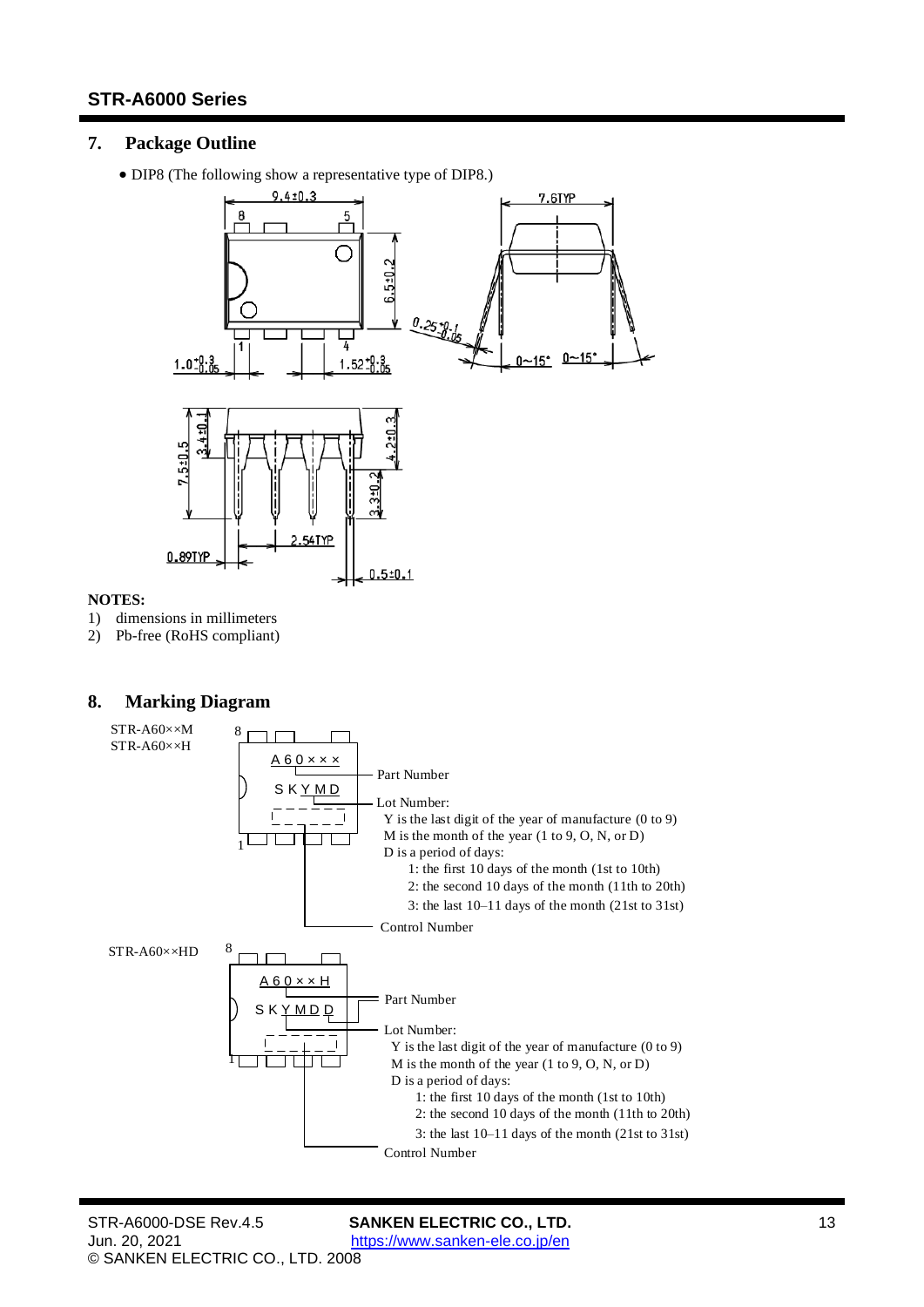# <span id="page-12-0"></span>**7. Package Outline**

• DIP8 (The following show a representative type of DIP8.)



#### **NOTES:**

- 1) dimensions in millimeters
- <span id="page-12-1"></span>2) Pb-free (RoHS compliant)

## **8. Marking Diagram**

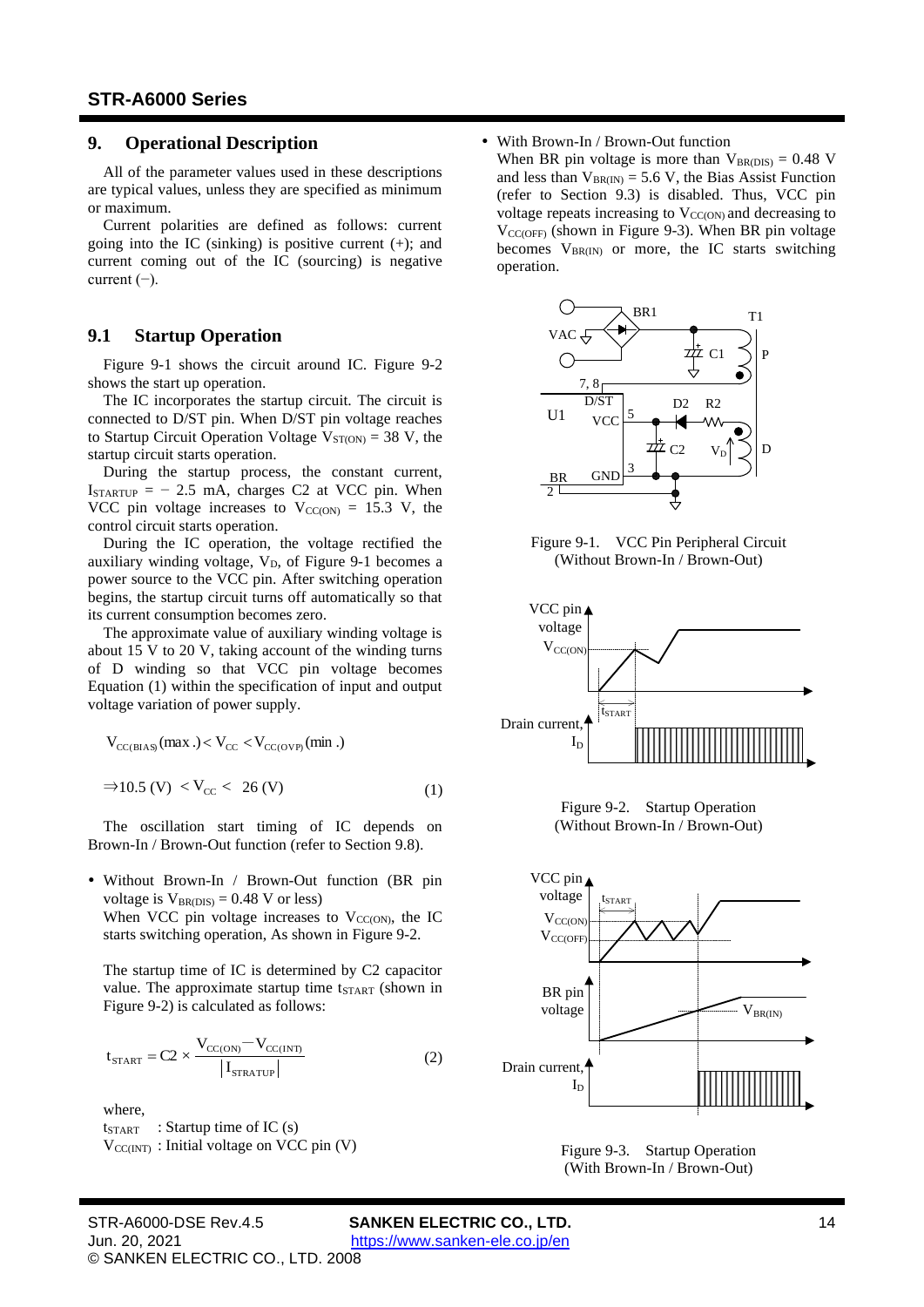## <span id="page-13-0"></span>**9. Operational Description**

All of the parameter values used in these descriptions are typical values, unless they are specified as minimum or maximum.

Current polarities are defined as follows: current going into the IC (sinking) is positive current  $(+)$ ; and current coming out of the IC (sourcing) is negative current  $(-)$ .

## <span id="page-13-1"></span>**9.1 Startup Operation**

[Figure 9-1](#page-13-2) shows the circuit around IC. [Figure 9-2](#page-13-3) shows the start up operation.

The IC incorporates the startup circuit. The circuit is connected to D/ST pin. When D/ST pin voltage reaches to Startup Circuit Operation Voltage  $V_{ST(ON)} = 38$  $V_{ST(ON)} = 38$  V, the startup circuit starts operation.

During the startup process, the constant current,  $I_{STARTUP} = -2.5$  $I_{STARTUP} = -2.5$  mA, charges C2 at VCC pin. When VCC pin voltage increases to  $V_{CC(ON)} = 15.3$  $V_{CC(ON)} = 15.3$  V, the control circuit starts operation.

During the IC operation, the voltage rectified the auxiliary winding voltage,  $V_D$ , of [Figure 9-1](#page-13-2) becomes a power source to the VCC pin. After switching operation begins, the startup circuit turns off automatically so that its current consumption becomes zero.

The approximate value of auxiliary winding voltage is about 15 V to 20 V, taking account of the winding turns of D winding so that VCC pin voltage becomes Equation [\(1\)](#page-13-4) within the specification of input and output voltage variation of power supply.

$$
V_{CC(BIAS)}(max.) < V_{CC} < V_{CC(OVP)}(min.)
$$
  
\n
$$
\Rightarrow 10.5 (V) < V_{CC} < 26 (V)
$$
 (1)

The oscillation start timing of IC depends on Brown-In / Brown-Out function (refer to Sectio[n 9.8\)](#page-16-0).

 Without Brown-In / Brown-Out function (BR pin voltage is  $V_{BR(DIS)} = 0.48$  $V_{BR(DIS)} = 0.48$  V or less) When VCC pin voltage increases to  $V_{CC(ON)}$ , the IC starts switching operation, As shown in [Figure 9-2.](#page-13-3)

The startup time of IC is determined by C2 capacitor value. The approximate startup time  $t_{\text{START}}$  (shown in [Figure 9-2\)](#page-13-3) is calculated as follows:

$$
t_{\text{START}} = C2 \times \frac{V_{\text{CC(ON)}} - V_{\text{CC(INT)}}}{|I_{\text{STRACT}}|}
$$
 (2)

where,

 $t_{\text{START}}$  : Startup time of IC (s)  $V_{CC(NT)}$ : Initial voltage on VCC pin (V)

#### With Brown-In / Brown-Out function

When BR pin voltage is more than  $V_{BR(DIS)} = 0.48$  $V_{BR(DIS)} = 0.48$  V and less than  $V_{BR(IN)} = 5.6$  $V_{BR(IN)} = 5.6$  V, the Bias Assist Function (refer to Section [9.3\)](#page-14-1) is disabled. Thus, VCC pin voltage repeats increasing to  $V_{CC(ON)}$  and decreasing to  $V_{\text{CC(OFF)}}$  (shown in [Figure 9-3\)](#page-13-5). When BR pin voltage becomes  $V_{BR(N)}$  or more, the IC starts switching operation.



<span id="page-13-2"></span>Figure 9-1. VCC Pin Peripheral Circuit (Without Brown-In / Brown-Out)



Figure 9-2. Startup Operation (Without Brown-In / Brown-Out)

<span id="page-13-4"></span><span id="page-13-3"></span>

<span id="page-13-5"></span>Figure 9-3. Startup Operation (With Brown-In / Brown-Out)

STR-A6000-DSE Rev.4.5 **SANKEN ELECTRIC CO., LTD.** 14 Jun. 20, 2021 <https://www.sanken-ele.co.jp/en> © SANKEN ELECTRIC CO., LTD. 2008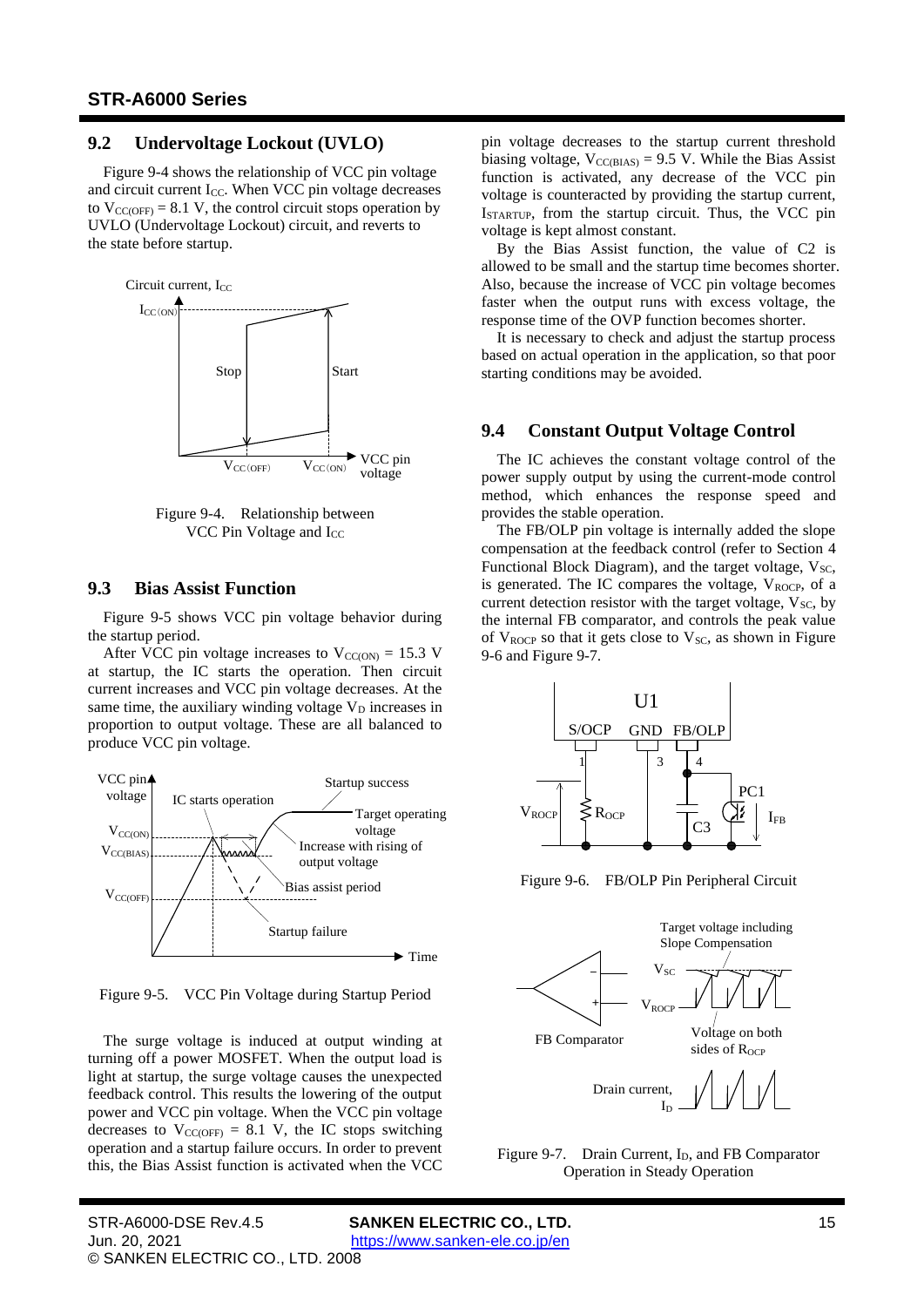## <span id="page-14-0"></span>**9.2 Undervoltage Lockout (UVLO)**

[Figure](#page-14-3) 9-4 shows the relationship of VCC pin voltage and circuit current  $I_{CC}$ . When VCC pin voltage decreases to  $V_{\text{CC(OFF)}} = 8.1 \text{ V}$  $V_{\text{CC(OFF)}} = 8.1 \text{ V}$  $V_{\text{CC(OFF)}} = 8.1 \text{ V}$ , the control circuit stops operation by UVLO (Undervoltage Lockout) circuit, and reverts to the state before startup.



<span id="page-14-3"></span>Figure 9-4. Relationship between VCC Pin Voltage and I<sub>CC</sub>

## <span id="page-14-1"></span>**9.3 Bias Assist Function**

[Figure](#page-14-4) 9-5 shows VCC pin voltage behavior during the startup period.

After VCC pin voltage increases to  $V_{CC(ON)} = 15.3$  $V_{CC(ON)} = 15.3$  V at startup, the IC starts the operation. Then circuit current increases and VCC pin voltage decreases. At the same time, the auxiliary winding voltage  $V_D$  increases in proportion to output voltage. These are all balanced to produce VCC pin voltage.



<span id="page-14-4"></span>Figure 9-5. VCC Pin Voltage during Startup Period

The surge voltage is induced at output winding at turning off a power MOSFET. When the output load is light at startup, the surge voltage causes the unexpected feedback control. This results the lowering of the output power and VCC pin voltage. When the VCC pin voltage decreases to  $V_{CC(OFF)} = 8.1$  $V_{CC(OFF)} = 8.1$  V, the IC stops switching operation and a startup failure occurs. In order to prevent this, the Bias Assist function is activated when the VCC pin voltage decreases to the startup current threshold biasing voltage,  $V_{CC(BIAS)} = 9.5$  $V_{CC(BIAS)} = 9.5$  V. While the Bias Assist function is activated, any decrease of the VCC pin voltage is counteracted by providing the startup current, ISTARTUP, from the startup circuit. Thus, the VCC pin voltage is kept almost constant.

By the Bias Assist function, the value of C2 is allowed to be small and the startup time becomes shorter. Also, because the increase of VCC pin voltage becomes faster when the output runs with excess voltage, the response time of the OVP function becomes shorter.

It is necessary to check and adjust the startup process based on actual operation in the application, so that poor starting conditions may be avoided.

#### <span id="page-14-2"></span>**9.4 Constant Output Voltage Control**

The IC achieves the constant voltage control of the power supply output by using the current-mode control method, which enhances the response speed and provides the stable operation.

The FB/OLP pin voltage is internally added the slope compensation at the feedback control (refer to Section 4 Functional Block Diagram), and the target voltage,  $V_{SC}$ , is generated. The IC compares the voltage,  $V_{\text{ROCP}}$ , of a current detection resistor with the target voltage,  $V_{SC}$ , by the internal FB comparator, and controls the peak value of  $V_{ROCP}$  so that it gets close to  $V_{SC}$ , as shown in Figure 9-6 and Figure 9-7.



Figure 9-6. FB/OLP Pin Peripheral Circuit



Figure 9-7. Drain Current,  $I_D$ , and FB Comparator Operation in Steady Operation

Jun. 20, 2021 <https://www.sanken-ele.co.jp/en> © SANKEN ELECTRIC CO., LTD. 2008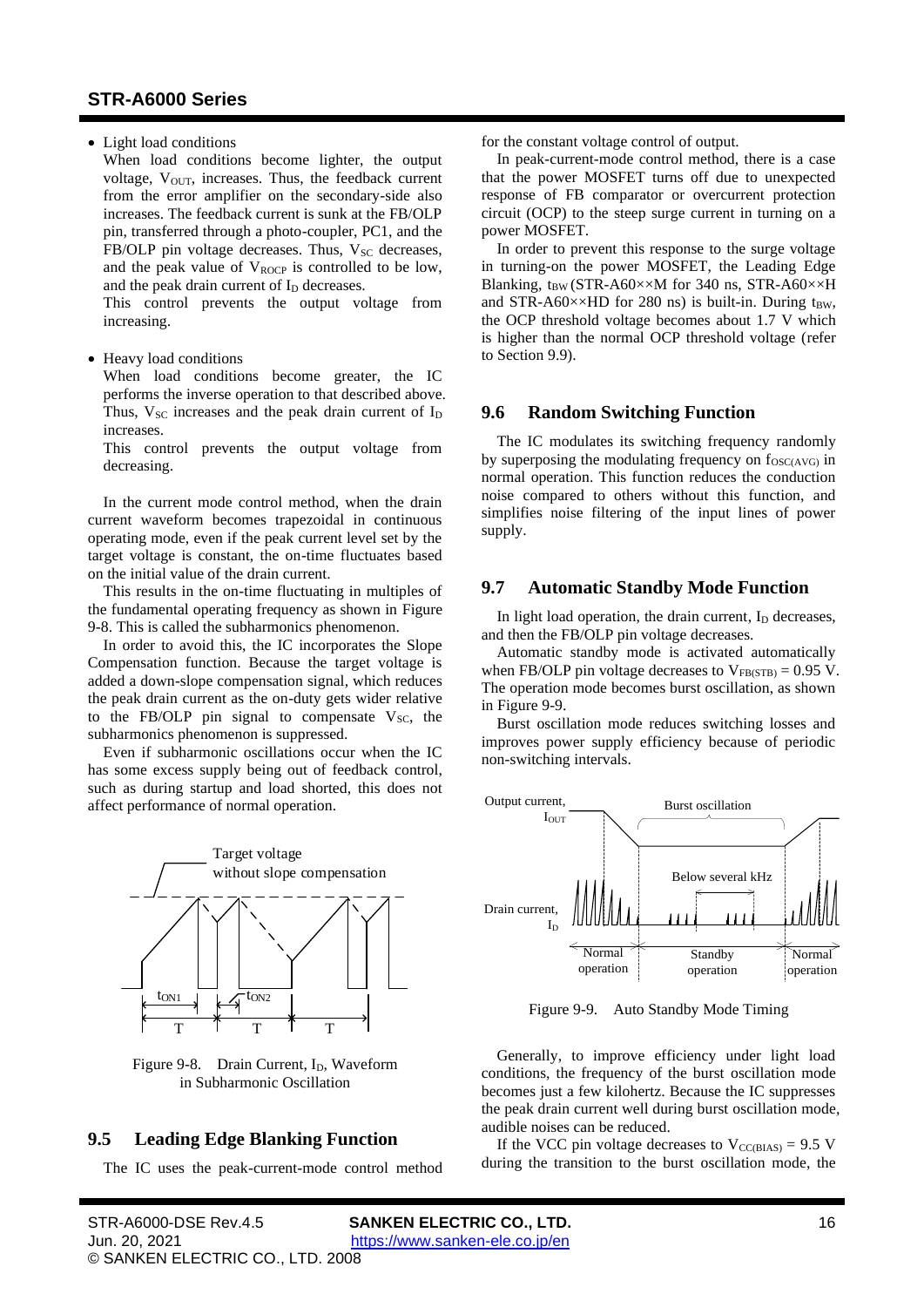• Light load conditions

When load conditions become lighter, the output voltage,  $V_{\text{OUT}}$ , increases. Thus, the feedback current from the error amplifier on the secondary-side also increases. The feedback current is sunk at the FB/OLP pin, transferred through a photo-coupler, PC1, and the FB/OLP pin voltage decreases. Thus,  $V_{SC}$  decreases, and the peak value of  $V_{\text{ROCP}}$  is controlled to be low, and the peak drain current of  $I<sub>D</sub>$  decreases.

This control prevents the output voltage from increasing.

• Heavy load conditions

When load conditions become greater, the IC performs the inverse operation to that described above. Thus,  $V_{SC}$  increases and the peak drain current of  $I_D$ increases.

This control prevents the output voltage from decreasing.

In the current mode control method, when the drain current waveform becomes trapezoidal in continuous operating mode, even if the peak current level set by the target voltage is constant, the on-time fluctuates based on the initial value of the drain current.

This results in the on-time fluctuating in multiples of the fundamental operating frequency as shown in [Figure](#page-15-3) [9-8.](#page-15-3) This is called the subharmonics phenomenon.

In order to avoid this, the IC incorporates the Slope Compensation function. Because the target voltage is added a down-slope compensation signal, which reduces the peak drain current as the on-duty gets wider relative to the FB/OLP pin signal to compensate  $V_{SC}$ , the subharmonics phenomenon is suppressed.

Even if subharmonic oscillations occur when the IC has some excess supply being out of feedback control, such as during startup and load shorted, this does not affect performance of normal operation.



<span id="page-15-3"></span>Figure 9-8. Drain Current, I<sub>D</sub>, Waveform in Subharmonic Oscillation

## <span id="page-15-0"></span>**9.5 Leading Edge Blanking Function**

The IC uses the peak-current-mode control method

for the constant voltage control of output.

In peak-current-mode control method, there is a case that the power MOSFET turns off due to unexpected response of FB comparator or overcurrent protection circuit (OCP) to the steep surge current in turning on a power MOSFET.

In order to prevent this response to the surge voltage in turning-on the power MOSFET, the Leading Edge Blanking,  $t_{BW}$  (STR-A60××M for [340](#page-3-7) ns, STR-A60××H and STR-A60 $\times$ ×HD for 280 ns) is built-in. During t<sub>BW</sub>, the OCP threshold voltage becomes about 1.7 V which is higher than the normal OCP threshold voltage (refer to Section [9.9\)](#page-18-0).

#### <span id="page-15-1"></span>**9.6 Random Switching Function**

The IC modulates its switching frequency randomly by superposing the modulating frequency on  $f_{\text{OSC(AVG)}}$  in normal operation. This function reduces the conduction noise compared to others without this function, and simplifies noise filtering of the input lines of power supply.

## <span id="page-15-2"></span>**9.7 Automatic Standby Mode Function**

In light load operation, the drain current,  $I<sub>D</sub>$  decreases, and then the FB/OLP pin voltage decreases.

Automatic standby mode is activated automatically when FB/OLP pin voltage decreases to  $V_{FB(STB)} = 0.95$  $V_{FB(STB)} = 0.95$  V. The operation mode becomes burst oscillation, as shown i[n Figure 9-9.](#page-15-4)

Burst oscillation mode reduces switching losses and improves power supply efficiency because of periodic non-switching intervals.



<span id="page-15-4"></span>Figure 9-9. Auto Standby Mode Timing

Generally, to improve efficiency under light load conditions, the frequency of the burst oscillation mode becomes just a few kilohertz. Because the IC suppresses the peak drain current well during burst oscillation mode, audible noises can be reduced.

If the VCC pin voltage decreases to  $V_{CC(BIAS)} = 9.5$  $V_{CC(BIAS)} = 9.5$  V during the transition to the burst oscillation mode, the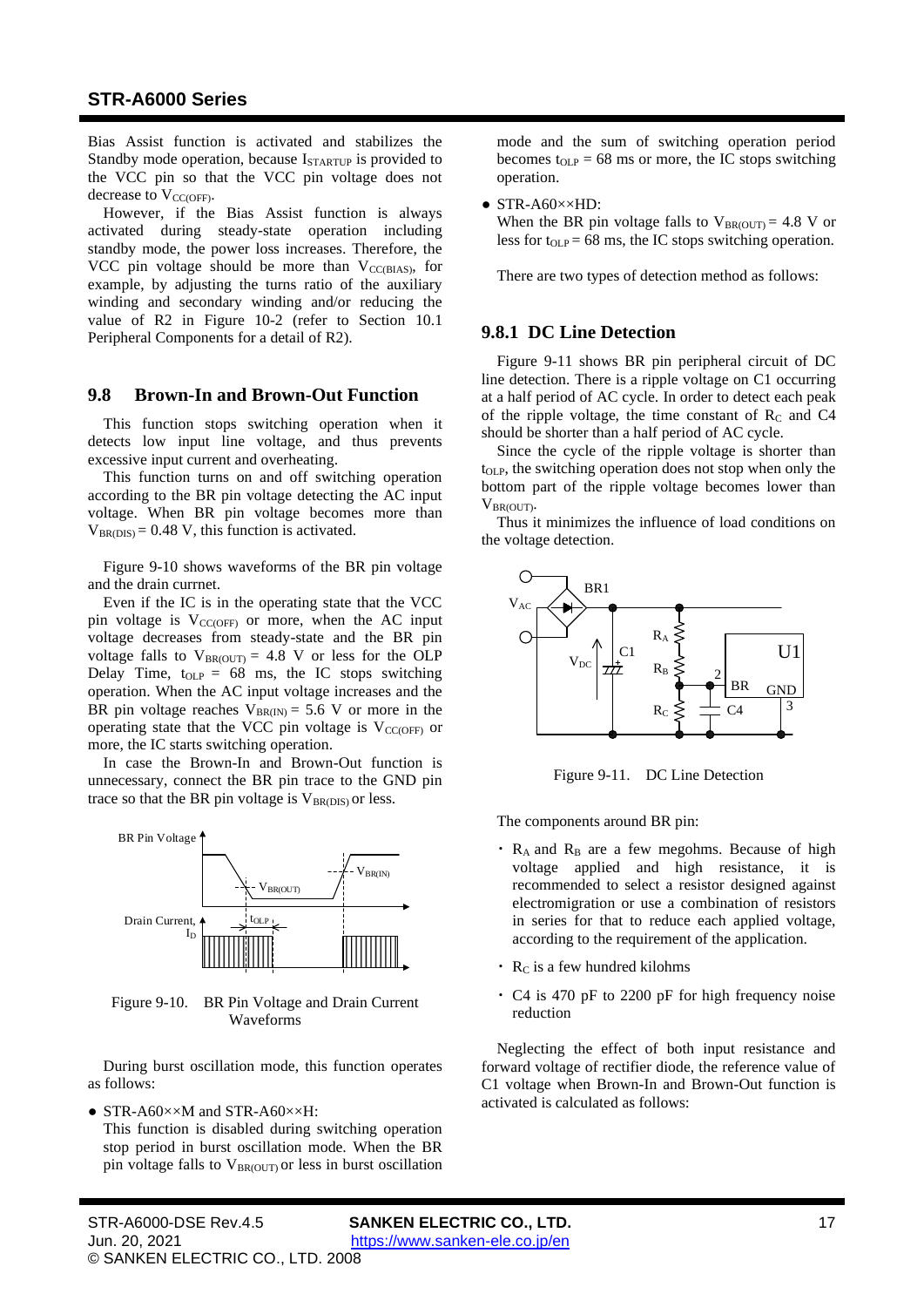Bias Assist function is activated and stabilizes the Standby mode operation, because I<sub>STARTUP</sub> is provided to the VCC pin so that the VCC pin voltage does not decrease to V<sub>CC(OFF)</sub>.

However, if the Bias Assist function is always activated during steady-state operation including standby mode, the power loss increases. Therefore, the VCC pin voltage should be more than  $V_{CC(BIAS)}$ , for example, by adjusting the turns ratio of the auxiliary winding and secondary winding and/or reducing the value of R2 in [Figure 10-2](#page-20-2) (refer to Section [10.1](#page-20-1) Peripheral Components for a detail of R2).

#### <span id="page-16-0"></span>**9.8 Brown-In and Brown-Out Function**

This function stops switching operation when it detects low input line voltage, and thus prevents excessive input current and overheating.

This function turns on and off switching operation according to the BR pin voltage detecting the AC input voltage. When BR pin voltage becomes more than  $V_{BR(DIS)} = 0.48$  $V_{BR(DIS)} = 0.48$  V, this function is activated.

Figure 9-10 shows waveforms of the BR pin voltage and the drain currnet.

Even if the IC is in the operating state that the VCC pin voltage is  $V_{\text{CC(OFF)}}$  or more, when the AC input voltage decreases from steady-state and the BR pin voltage falls to  $V_{BR(OUT)} = 4.8$  $V_{BR(OUT)} = 4.8$  V or less for the OLP Delay Time,  $t_{OLP} = 68$  $t_{OLP} = 68$  ms, the IC stops switching operation. When the AC input voltage increases and the BR pin voltage reaches  $V_{BR(IN)} = 5.6$  $V_{BR(IN)} = 5.6$  V or more in the operating state that the VCC pin voltage is  $V_{\text{CC(OFF)}}$  or more, the IC starts switching operation.

In case the Brown-In and Brown-Out function is unnecessary, connect the BR pin trace to the GND pin trace so that the BR pin voltage is  $V_{BR(DIS)}$  or less.



Figure 9-10. BR Pin Voltage and Drain Current Waveforms

During burst oscillation mode, this function operates as follows:

• STR-A60××M and STR-A60××H:

This function is disabled during switching operation stop period in burst oscillation mode. When the BR pin voltage falls to  $V_{BR(OUT)}$  or less in burst oscillation mode and the sum of switching operation period becomes  $t_{OLP} = 68$  $t_{OLP} = 68$  ms or more, the IC stops switching operation.

● STR-A60××HD:

When the BR pin voltage falls to  $V_{BR(OUT)} = 4.8$  $V_{BR(OUT)} = 4.8$  V or less for  $t_{OLP} = 68$  $t_{OLP} = 68$  ms, the IC stops switching operation.

<span id="page-16-1"></span>There are two types of detection method as follows:

# **9.8.1 DC Line Detection**

Figure 9-11 shows BR pin peripheral circuit of DC line detection. There is a ripple voltage on C1 occurring at a half period of AC cycle. In order to detect each peak of the ripple voltage, the time constant of  $R_C$  and  $C4$ should be shorter than a half period of AC cycle.

Since the cycle of the ripple voltage is shorter than tOLP, the switching operation does not stop when only the bottom part of the ripple voltage becomes lower than VBR(OUT).

Thus it minimizes the influence of load conditions on the voltage detection.



Figure 9-11. DC Line Detection

The components around BR pin:

- $\cdot$  R<sub>A</sub> and R<sub>B</sub> are a few megohms. Because of high voltage applied and high resistance, it is recommended to select a resistor designed against electromigration or use a combination of resistors in series for that to reduce each applied voltage, according to the requirement of the application.
- $\cdot$  R<sub>C</sub> is a few hundred kilohms
- ・ C4 is 470 pF to 2200 pF for high frequency noise reduction

Neglecting the effect of both input resistance and forward voltage of rectifier diode, the reference value of C1 voltage when Brown-In and Brown-Out function is activated is calculated as follows: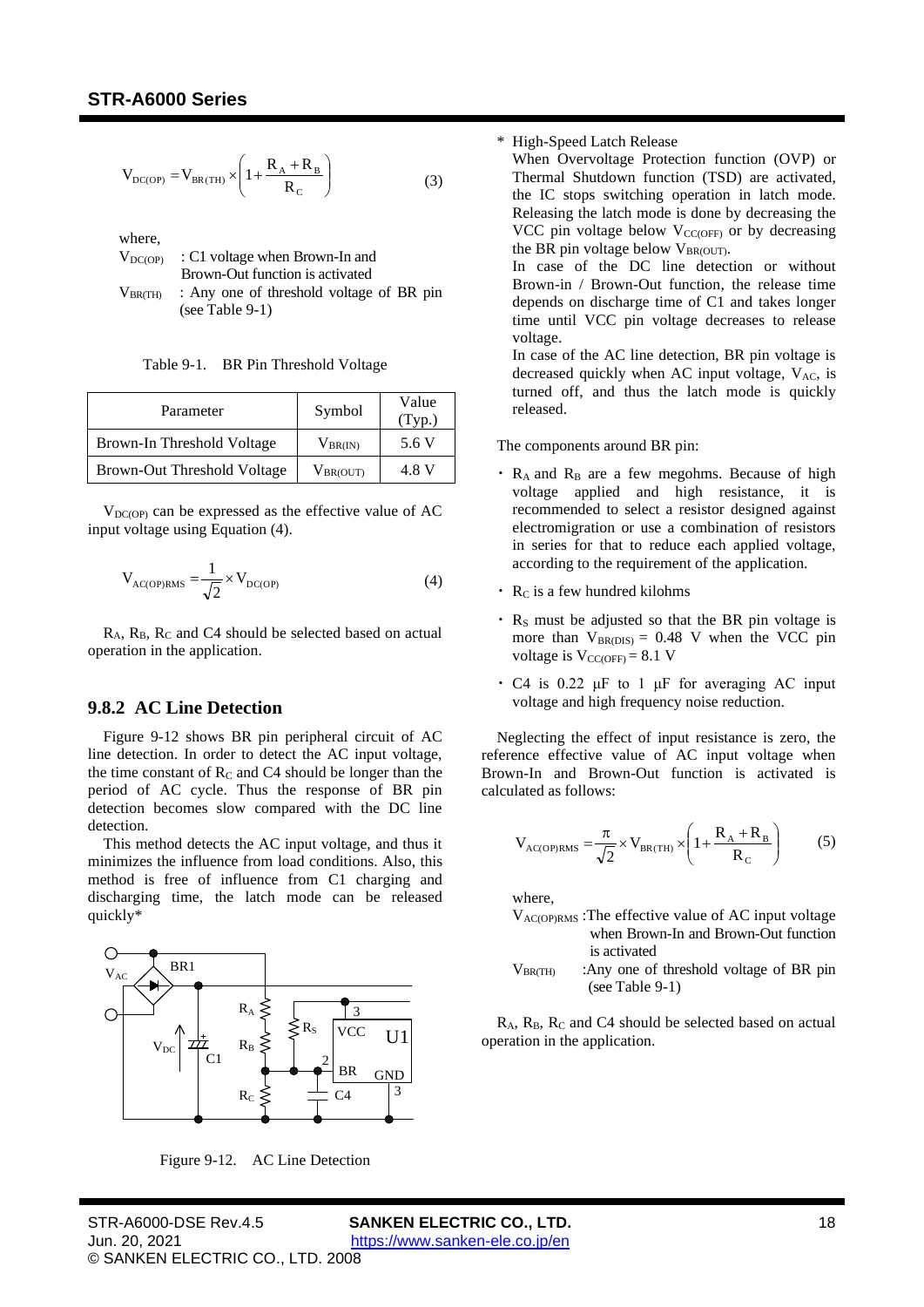$$
V_{DC(OP)} = V_{BR(TH)} \times \left(1 + \frac{R_A + R_B}{R_C}\right)
$$
 (3)

where,

|                  | $V_{DC(OP)}$ : C1 voltage when Brown-In and |  |  |  |  |  |
|------------------|---------------------------------------------|--|--|--|--|--|
|                  | Brown-Out function is activated             |  |  |  |  |  |
| $V_{\rm BR(TH)}$ | : Any one of threshold voltage of BR pin    |  |  |  |  |  |
|                  | (see Table $9-1$ )                          |  |  |  |  |  |

Table 9-1. BR Pin Threshold Voltage

<span id="page-17-1"></span>

| Parameter                          | Symbol        | Value<br>(Typ.) |
|------------------------------------|---------------|-----------------|
| Brown-In Threshold Voltage         | $V_{BR(IN)}$  | 5.6 V           |
| <b>Brown-Out Threshold Voltage</b> | $V_{BR(OUT)}$ | 4.8 V           |

 $V_{DC(OP)}$  can be expressed as the effective value of AC input voltage using Equation [\(4\).](#page-17-2)

<span id="page-17-2"></span>
$$
V_{\text{AC(OP)RMS}} = \frac{1}{\sqrt{2}} \times V_{\text{DC(OP)}} \tag{4}
$$

<span id="page-17-0"></span> $R_A$ ,  $R_B$ ,  $R_C$  and C4 should be selected based on actual operation in the application.

## **9.8.2 AC Line Detection**

[Figure 9-12](#page-17-3) shows BR pin peripheral circuit of AC line detection. In order to detect the AC input voltage, the time constant of  $R_C$  and  $C4$  should be longer than the period of AC cycle. Thus the response of BR pin detection becomes slow compared with the DC line detection.

This method detects the AC input voltage, and thus it minimizes the influence from load conditions. Also, this method is free of influence from C1 charging and discharging time, the latch mode can be released quickly\*



<span id="page-17-3"></span>Figure 9-12. AC Line Detection

#### \* High-Speed Latch Release

When Overvoltage Protection function (OVP) or Thermal Shutdown function (TSD) are activated, the IC stops switching operation in latch mode. Releasing the latch mode is done by decreasing the VCC pin voltage below  $V_{CC(OFF)}$  or by decreasing the BR pin voltage below  $V_{BR(OUT)}$ .

In case of the DC line detection or without Brown-in / Brown-Out function, the release time depends on discharge time of C1 and takes longer time until VCC pin voltage decreases to release voltage.

In case of the AC line detection, BR pin voltage is decreased quickly when AC input voltage,  $V_{AC}$ , is turned off, and thus the latch mode is quickly released.

The components around BR pin:

- $\cdot$  R<sub>A</sub> and R<sub>B</sub> are a few megohms. Because of high voltage applied and high resistance, it is recommended to select a resistor designed against electromigration or use a combination of resistors in series for that to reduce each applied voltage, according to the requirement of the application.
- $\cdot$  R<sub>C</sub> is a few hundred kilohms
- $\cdot$  R<sub>S</sub> must be adjusted so that the BR pin voltage is more than  $V_{BR(DIS)} = 0.48$  $V_{BR(DIS)} = 0.48$  V when the VCC pin voltage is  $V_{CC(OFF)} = 8.1 V$  $V_{CC(OFF)} = 8.1 V$  $V_{CC(OFF)} = 8.1 V$
- $\cdot$  C4 is 0.22 μF to 1 μF for averaging AC input voltage and high frequency noise reduction.

Neglecting the effect of input resistance is zero, the reference effective value of AC input voltage when Brown-In and Brown-Out function is activated is calculated as follows:

$$
V_{\text{AC(OP)RMS}} = \frac{\pi}{\sqrt{2}} \times V_{\text{BR(TH)}} \times \left(1 + \frac{R_A + R_B}{R_C}\right) \tag{5}
$$

where,

- $V_{\text{AC}(\text{OP})\text{RMS}}$ : The effective value of AC input voltage when Brown-In and Brown-Out function is activated
- $V_{BR(TH)}$  : Any one of threshold voltage of BR pin (se[e Table 9-1\)](#page-17-1)

R<sub>A</sub>, R<sub>B</sub>, R<sub>C</sub> and C<sub>4</sub> should be selected based on actual operation in the application.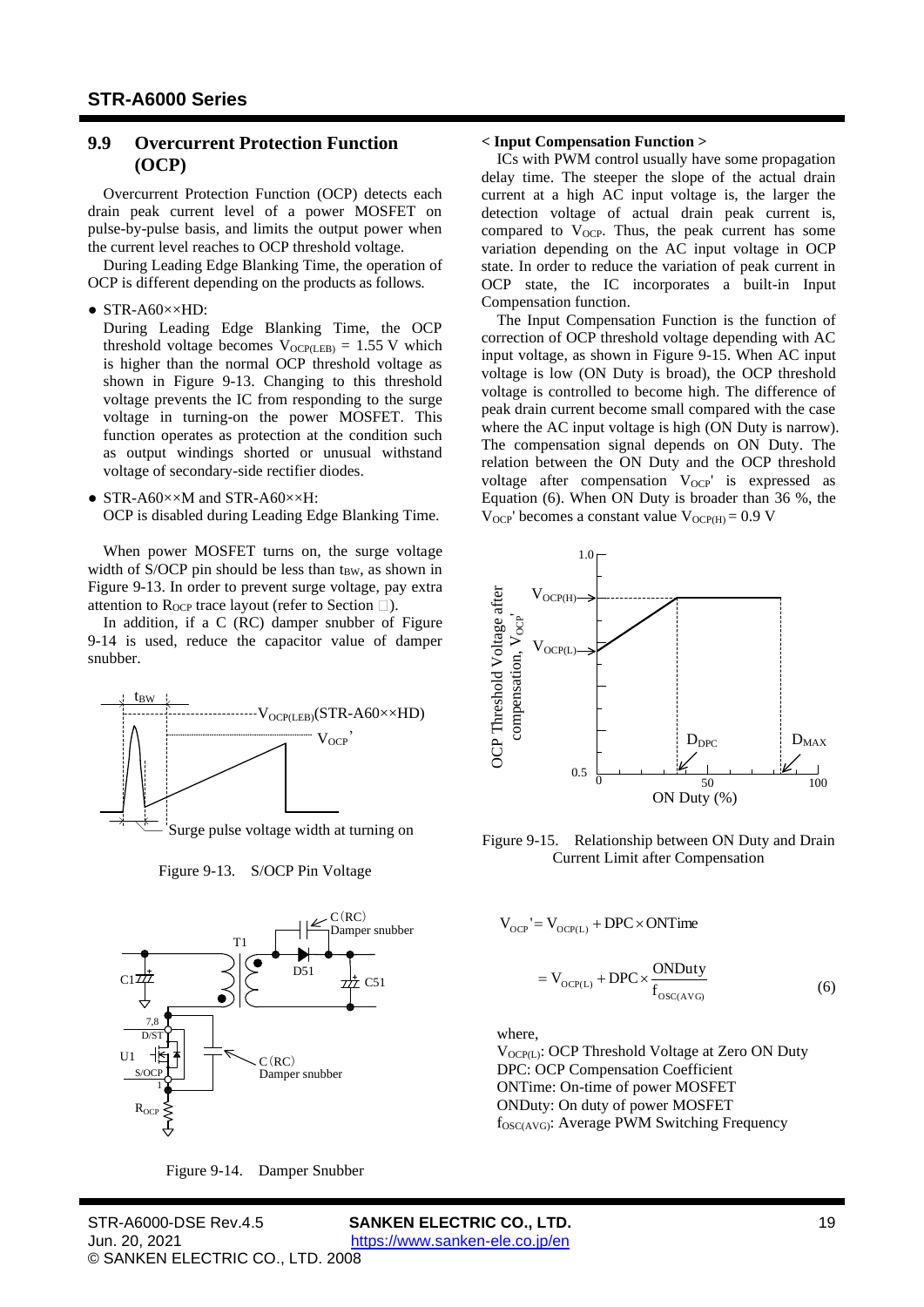# <span id="page-18-0"></span>**9.9 Overcurrent Protection Function (OCP)**

Overcurrent Protection Function (OCP) detects each drain peak current level of a power MOSFET on pulse-by-pulse basis, and limits the output power when the current level reaches to OCP threshold voltage.

During Leading Edge Blanking Time, the operation of OCP is different depending on the products as follows.

 $\bullet$  STR-A60 $\times$  $\times$ HD:

During Leading Edge Blanking Time, the OCP threshold voltage becomes  $V_{OCP(LEB)} = 1.55$  V which is higher than the normal OCP threshold voltage as shown in Figure 9-13. Changing to this threshold voltage prevents the IC from responding to the surge voltage in turning-on the power MOSFET. This function operates as protection at the condition such as output windings shorted or unusual withstand voltage of secondary-side rectifier diodes.

● STR-A60××M and STR-A60××H: OCP is disabled during Leading Edge Blanking Time.

When power MOSFET turns on, the surge voltage width of S/OCP pin should be less than  $t_{BW}$ , as shown in Figure 9-13. In order to prevent surge voltage, pay extra attention to R<sub>OCP</sub> trace layout (refer to Section  $\square$ ).

In addition, if a C (RC) damper snubber of [Figure](#page-18-1) [9-14](#page-18-1) is used, reduce the capacitor value of damper snubber.



Figure 9-13. S/OCP Pin Voltage



<span id="page-18-1"></span>

## **< Input Compensation Function >**

ICs with PWM control usually have some propagation delay time. The steeper the slope of the actual drain current at a high AC input voltage is, the larger the detection voltage of actual drain peak current is, compared to  $V_{OCP}$ . Thus, the peak current has some variation depending on the AC input voltage in OCP state. In order to reduce the variation of peak current in OCP state, the IC incorporates a built-in Input Compensation function.

The Input Compensation Function is the function of correction of OCP threshold voltage depending with AC input voltage, as shown in [Figure 9-15.](#page-18-2) When AC input voltage is low (ON Duty is broad), the OCP threshold voltage is controlled to become high. The difference of peak drain current become small compared with the case where the AC input voltage is high (ON Duty is narrow). The compensation signal depends on ON Duty. The relation between the ON Duty and the OCP threshold voltage after compensation V<sub>OCP</sub>' is expressed as Equation [\(6\).](#page-18-3) When ON Duty is broader than [36](#page-3-10) %, the  $V_{OCP}$ ' becomes a constant value  $V_{OCP(H)} = 0.9$  $V_{OCP(H)} = 0.9$  V



<span id="page-18-2"></span>Figure 9-15. Relationship between ON Duty and Drain Current Limit after Compensation

$$
V_{OCP} = V_{OCP(L)} + DPC \times ONTime
$$

<span id="page-18-3"></span>
$$
= V_{OCP(L)} + DPC \times \frac{ONDuty}{f_{OSC(AVG)}}
$$
 (6)

where,

V<sub>OCP(L)</sub>: OCP Threshold Voltage at Zero ON Duty DPC: OCP Compensation Coefficient ONTime: On-time of power MOSFET ONDuty: On duty of power MOSFET fOSC(AVG): Average PWM Switching Frequency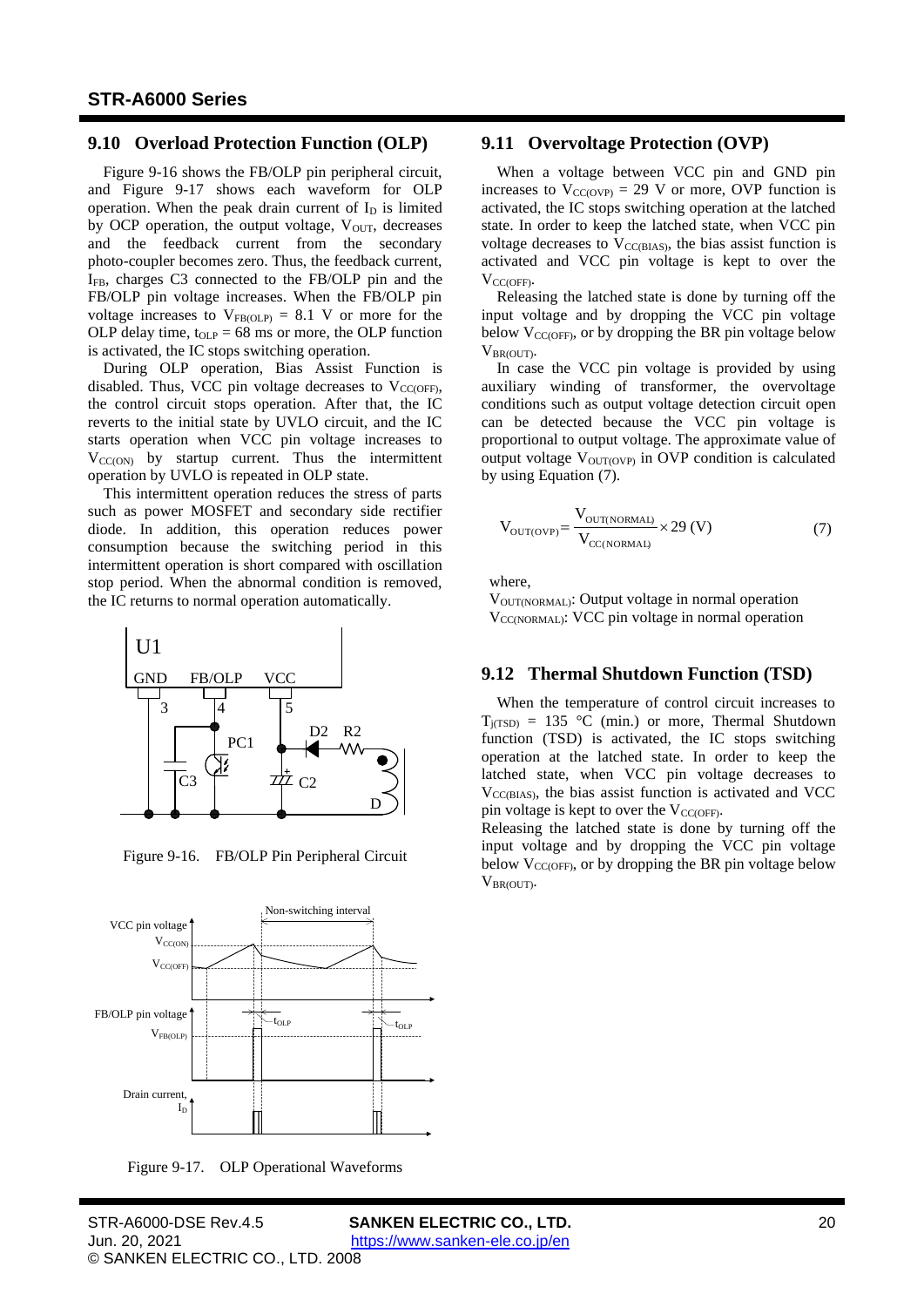#### <span id="page-19-0"></span>**9.10 Overload Protection Function (OLP)**

[Figure 9-16](#page-19-3) shows the FB/OLP pin peripheral circuit, and [Figure 9-17](#page-19-4) shows each waveform for OLP operation. When the peak drain current of  $I<sub>D</sub>$  is limited by OCP operation, the output voltage,  $V_{OUT}$ , decreases and the feedback current from the secondary photo-coupler becomes zero. Thus, the feedback current, IFB, charges C3 connected to the FB/OLP pin and the FB/OLP pin voltage increases. When the FB/OLP pin voltage increases to  $V_{FB(OLP)} = 8.1$  $V_{FB(OLP)} = 8.1$  V or more for the OLP delay time,  $t_{OLP} = 68$  $t_{OLP} = 68$  ms or more, the OLP function is activated, the IC stops switching operation.

During OLP operation, Bias Assist Function is disabled. Thus, VCC pin voltage decreases to  $V_{CC(OFF)}$ , the control circuit stops operation. After that, the IC reverts to the initial state by UVLO circuit, and the IC starts operation when VCC pin voltage increases to  $V_{CC(ON)}$  by startup current. Thus the intermittent operation by UVLO is repeated in OLP state.

This intermittent operation reduces the stress of parts such as power MOSFET and secondary side rectifier diode. In addition, this operation reduces power consumption because the switching period in this intermittent operation is short compared with oscillation stop period. When the abnormal condition is removed, the IC returns to normal operation automatically.



<span id="page-19-3"></span>Figure 9-16. FB/OLP Pin Peripheral Circuit



<span id="page-19-4"></span>Figure 9-17. OLP Operational Waveforms

# **9.11 Overvoltage Protection (OVP)**

<span id="page-19-1"></span>When a voltage between VCC pin and GND pin increases to  $V_{CC(OVP)} = 29$  $V_{CC(OVP)} = 29$  V or more, OVP function is activated, the IC stops switching operation at the latched state. In order to keep the latched state, when VCC pin voltage decreases to  $V_{CC(BIAS)}$ , the bias assist function is activated and VCC pin voltage is kept to over the V<sub>CC(OFF)</sub>.

Releasing the latched state is done by turning off the input voltage and by dropping the VCC pin voltage below  $V_{\text{CC(OFF)}}$ , or by dropping the BR pin voltage below  $V_{BR(OUT)}$ .

In case the VCC pin voltage is provided by using auxiliary winding of transformer, the overvoltage conditions such as output voltage detection circuit open can be detected because the VCC pin voltage is proportional to output voltage. The approximate value of output voltage  $V_{\text{OUT} (OVP)}$  in OVP condition is calculated by using Equation [\(7\).](#page-19-5)

<span id="page-19-5"></span>
$$
V_{\text{OUT(OVP)}} = \frac{V_{\text{OUT(NORMAL)}}}{V_{\text{CC(NORMAL)}}} \times 29 \text{ (V)}
$$
(7)

where,

<span id="page-19-2"></span>VOUT(NORMAL): Output voltage in normal operation  $V_{CC(NORMAL)}$ : VCC pin voltage in normal operation

#### **9.12 Thermal Shutdown Function (TSD)**

When the temperature of control circuit increases to  $T_{j(TSD)} = 135$  $T_{j(TSD)} = 135$  °C (min.) or more, Thermal Shutdown function (TSD) is activated, the IC stops switching operation at the latched state. In order to keep the latched state, when VCC pin voltage decreases to  $V_{\text{CCRIAS}}$ , the bias assist function is activated and VCC pin voltage is kept to over the  $V_{\text{CC(OFF)}}$ .

Releasing the latched state is done by turning off the input voltage and by dropping the VCC pin voltage below  $V_{\text{CC(OFF)}}$ , or by dropping the BR pin voltage below VBR(OUT).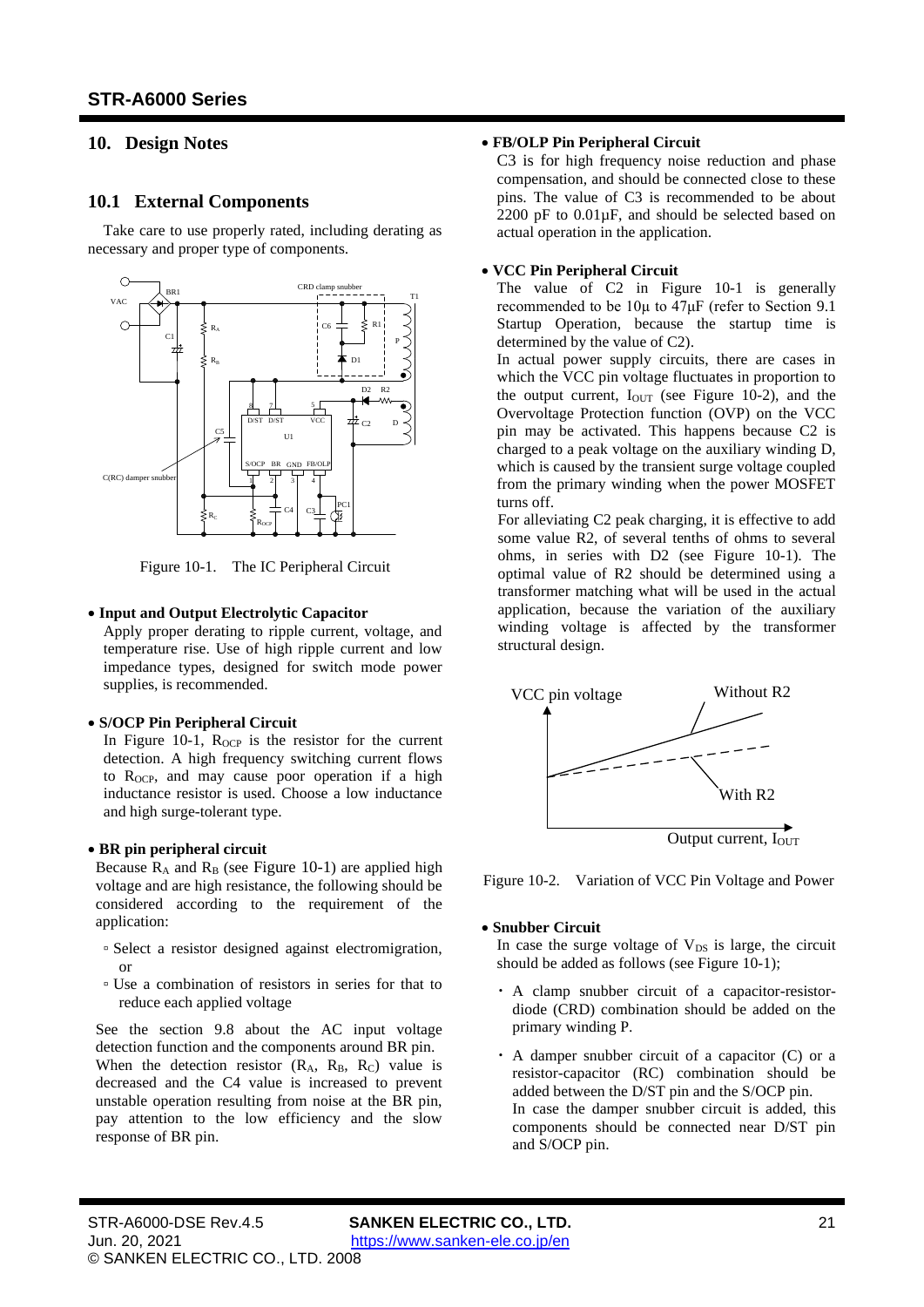# <span id="page-20-1"></span><span id="page-20-0"></span>**10. Design Notes**

## **10.1 External Components**

Take care to use properly rated, including derating as necessary and proper type of components.



<span id="page-20-3"></span>Figure 10-1. The IC Peripheral Circuit

#### • **Input and Output Electrolytic Capacitor**

Apply proper derating to ripple current, voltage, and temperature rise. Use of high ripple current and low impedance types, designed for switch mode power supplies, is recommended.

#### • **S/OCP Pin Peripheral Circuit**

In [Figure 10-1,](#page-20-3)  $R_{OCP}$  is the resistor for the current detection. A high frequency switching current flows to  $R_{OCP}$ , and may cause poor operation if a high inductance resistor is used. Choose a low inductance and high surge-tolerant type.

#### • **BR pin peripheral circuit**

Because  $R_A$  and  $R_B$  (see [Figure 10-1](#page-20-3)) are applied high voltage and are high resistance, the following should be considered according to the requirement of the application:

- Select a resistor designed against electromigration, or
- Use a combination of resistors in series for that to reduce each applied voltage

See the section [9.8](#page-16-0) about the AC input voltage detection function and the components around BR pin. When the detection resistor  $(R_A, R_B, R_C)$  value is decreased and the C4 value is increased to prevent unstable operation resulting from noise at the BR pin, pay attention to the low efficiency and the slow response of BR pin.

#### • **FB/OLP Pin Peripheral Circuit**

C3 is for high frequency noise reduction and phase compensation, and should be connected close to these pins. The value of C3 is recommended to be about 2200 pF to 0.01µF, and should be selected based on actual operation in the application.

#### • **VCC Pin Peripheral Circuit**

The value of C2 in [Figure 10-1](#page-20-3) is generally recommended to be 10µ to 47μF (refer to Section 9.1 Startup Operation, because the startup time is determined by the value of C2).

In actual power supply circuits, there are cases in which the VCC pin voltage fluctuates in proportion to the output current,  $I_{OUT}$  (see [Figure 10-2\)](#page-20-2), and the Overvoltage Protection function (OVP) on the VCC pin may be activated. This happens because C2 is charged to a peak voltage on the auxiliary winding D, which is caused by the transient surge voltage coupled from the primary winding when the power MOSFET turns off.

For alleviating C2 peak charging, it is effective to add some value R2, of several tenths of ohms to several ohms, in series with D2 (see [Figure 10-1\)](#page-20-3). The optimal value of R2 should be determined using a transformer matching what will be used in the actual application, because the variation of the auxiliary winding voltage is affected by the transformer structural design.



<span id="page-20-2"></span>Figure 10-2. Variation of VCC Pin Voltage and Power

#### • **Snubber Circuit**

In case the surge voltage of  $V_{DS}$  is large, the circuit should be added as follows (se[e Figure 10-1\)](#page-20-3);

- A clamp snubber circuit of a capacitor-resistordiode (CRD) combination should be added on the primary winding P.
- ・ A damper snubber circuit of a capacitor (C) or a resistor-capacitor (RC) combination should be added between the D/ST pin and the S/OCP pin. In case the damper snubber circuit is added, this components should be connected near D/ST pin and S/OCP pin.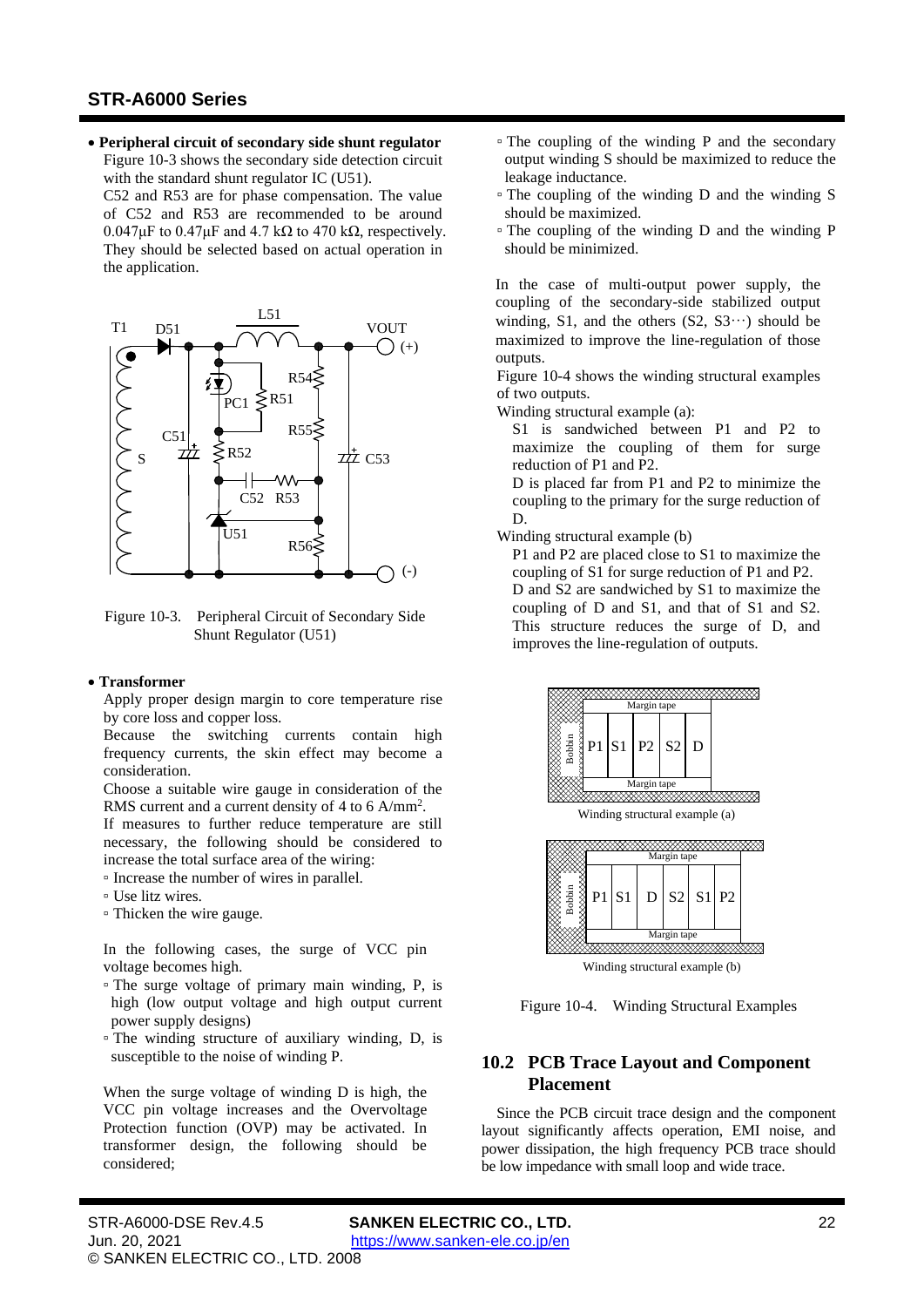• **Peripheral circuit of secondary side shunt regulator** [Figure](#page-21-2) 10-3 shows the secondary side detection circuit with the standard shunt regulator IC (U51).

C52 and R53 are for phase compensation. The value of C52 and R53 are recommended to be around  $0.047\mu$ F to  $0.47\mu$ F and  $4.7$  k $\Omega$  to  $470$  k $\Omega$ , respectively. They should be selected based on actual operation in the application.



<span id="page-21-2"></span>Figure 10-3. Peripheral Circuit of Secondary Side Shunt Regulator (U51)

#### <span id="page-21-1"></span>• **Transformer**

Apply proper design margin to core temperature rise by core loss and copper loss.

Because the switching currents contain high frequency currents, the skin effect may become a consideration.

Choose a suitable wire gauge in consideration of the RMS current and a current density of 4 to 6  $A/mm^2$ .

If measures to further reduce temperature are still necessary, the following should be considered to increase the total surface area of the wiring:

- Increase the number of wires in parallel.
- Use litz wires.
- Thicken the wire gauge.

In the following cases, the surge of VCC pin voltage becomes high.

- The surge voltage of primary main winding, P, is high (low output voltage and high output current power supply designs)
- The winding structure of auxiliary winding, D, is susceptible to the noise of winding P.

When the surge voltage of winding D is high, the VCC pin voltage increases and the Overvoltage Protection function (OVP) may be activated. In transformer design, the following should be considered;

- The coupling of the winding P and the secondary output winding S should be maximized to reduce the leakage inductance.
- The coupling of the winding D and the winding S should be maximized.
- The coupling of the winding D and the winding P should be minimized.

In the case of multi-output power supply, the coupling of the secondary-side stabilized output winding, S1, and the others  $(S2, S3...)$  should be maximized to improve the line-regulation of those outputs.

[Figure](#page-21-3) 10-4 shows the winding structural examples of two outputs.

Winding structural example (a):

S1 is sandwiched between P1 and P2 to maximize the coupling of them for surge reduction of P1 and P2.

D is placed far from P1 and P2 to minimize the coupling to the primary for the surge reduction of D.

Winding structural example (b)

P1 and P2 are placed close to S1 to maximize the coupling of S1 for surge reduction of P1 and P2. D and S2 are sandwiched by S1 to maximize the coupling of D and S1, and that of S1 and S2. This structure reduces the surge of D, and improves the line-regulation of outputs.





<span id="page-21-3"></span>Figure 10-4. Winding Structural Examples

# <span id="page-21-0"></span>**10.2 PCB Trace Layout and Component Placement**

Since the PCB circuit trace design and the component layout significantly affects operation, EMI noise, and power dissipation, the high frequency PCB trace should be low impedance with small loop and wide trace.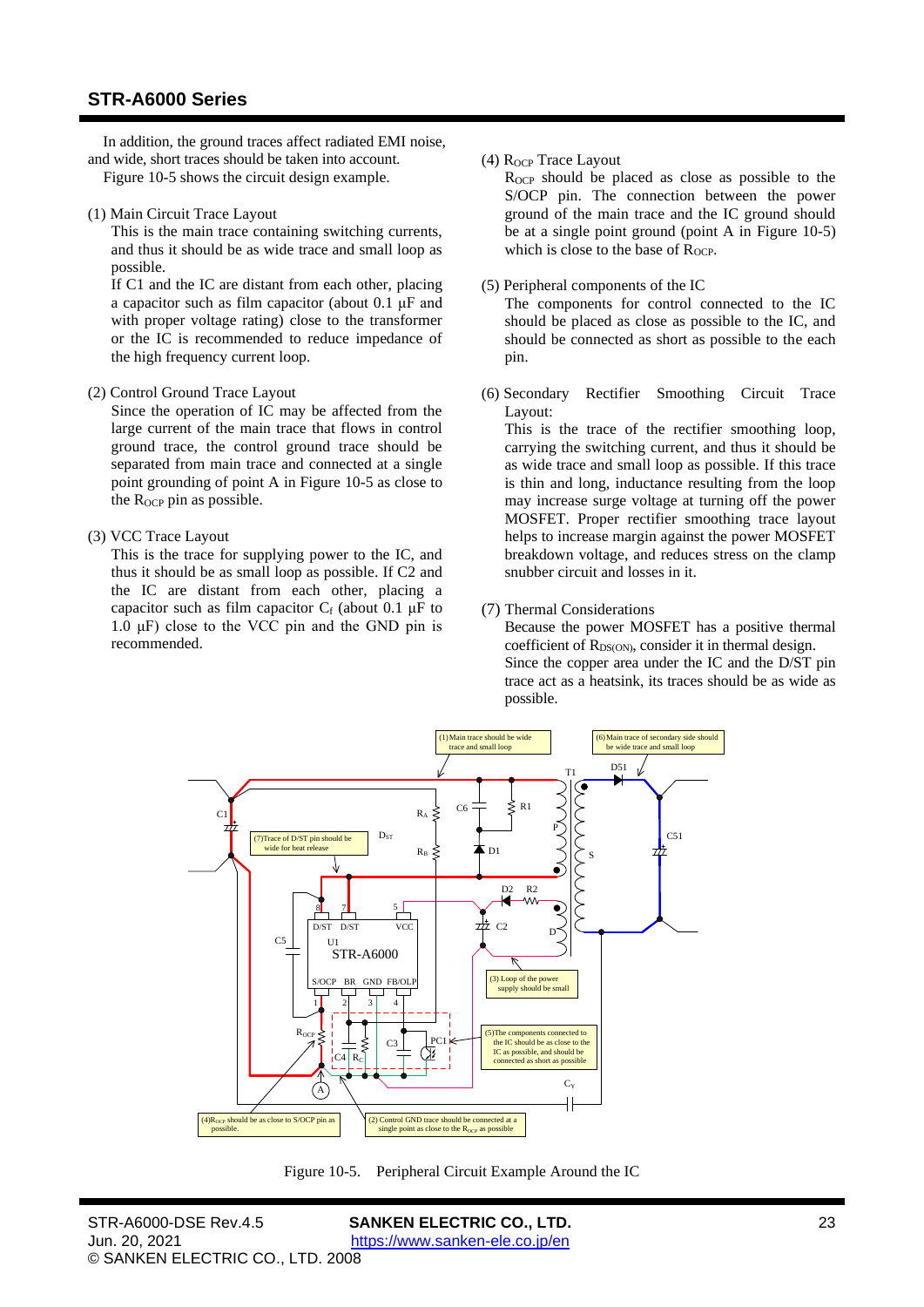In addition, the ground traces affect radiated EMI noise, and wide, short traces should be taken into account.

[Figure](#page-22-0) 10-5 shows the circuit design example.

(1) Main Circuit Trace Layout

This is the main trace containing switching currents, and thus it should be as wide trace and small loop as possible.

If C1 and the IC are distant from each other, placing a capacitor such as film capacitor (about 0.1 μF and with proper voltage rating) close to the transformer or the IC is recommended to reduce impedance of the high frequency current loop.

(2) Control Ground Trace Layout

Since the operation of IC may be affected from the large current of the main trace that flows in control ground trace, the control ground trace should be separated from main trace and connected at a single point grounding of point A in [Figure](#page-22-0) 10-5 as close to the  $R_{OCP}$  pin as possible.

(3) VCC Trace Layout

This is the trace for supplying power to the IC, and thus it should be as small loop as possible. If C2 and the IC are distant from each other, placing a capacitor such as film capacitor  $C_f$  (about 0.1  $\mu$ F to 1.0  $\mu$ F) close to the VCC pin and the GND pin is recommended.

(4)  $R_{OCP}$  Trace Layout

 $R_{OCP}$  should be placed as close as possible to the S/OCP pin. The connection between the power ground of the main trace and the IC ground should be at a single point ground (point A in [Figure](#page-22-0) 10-5) which is close to the base of  $R_{OCP}$ .

(5) Peripheral components of the IC

The components for control connected to the IC should be placed as close as possible to the IC, and should be connected as short as possible to the each pin.

(6) Secondary Rectifier Smoothing Circuit Trace Layout:

This is the trace of the rectifier smoothing loop, carrying the switching current, and thus it should be as wide trace and small loop as possible. If this trace is thin and long, inductance resulting from the loop may increase surge voltage at turning off the power MOSFET. Proper rectifier smoothing trace layout helps to increase margin against the power MOSFET breakdown voltage, and reduces stress on the clamp snubber circuit and losses in it.

(7) Thermal Considerations

Because the power MOSFET has a positive thermal coefficient of  $R_{DS(ON)}$ , consider it in thermal design. Since the copper area under the IC and the D/ST pin trace act as a heatsink, its traces should be as wide as possible.



<span id="page-22-0"></span>Figure 10-5. Peripheral Circuit Example Around the IC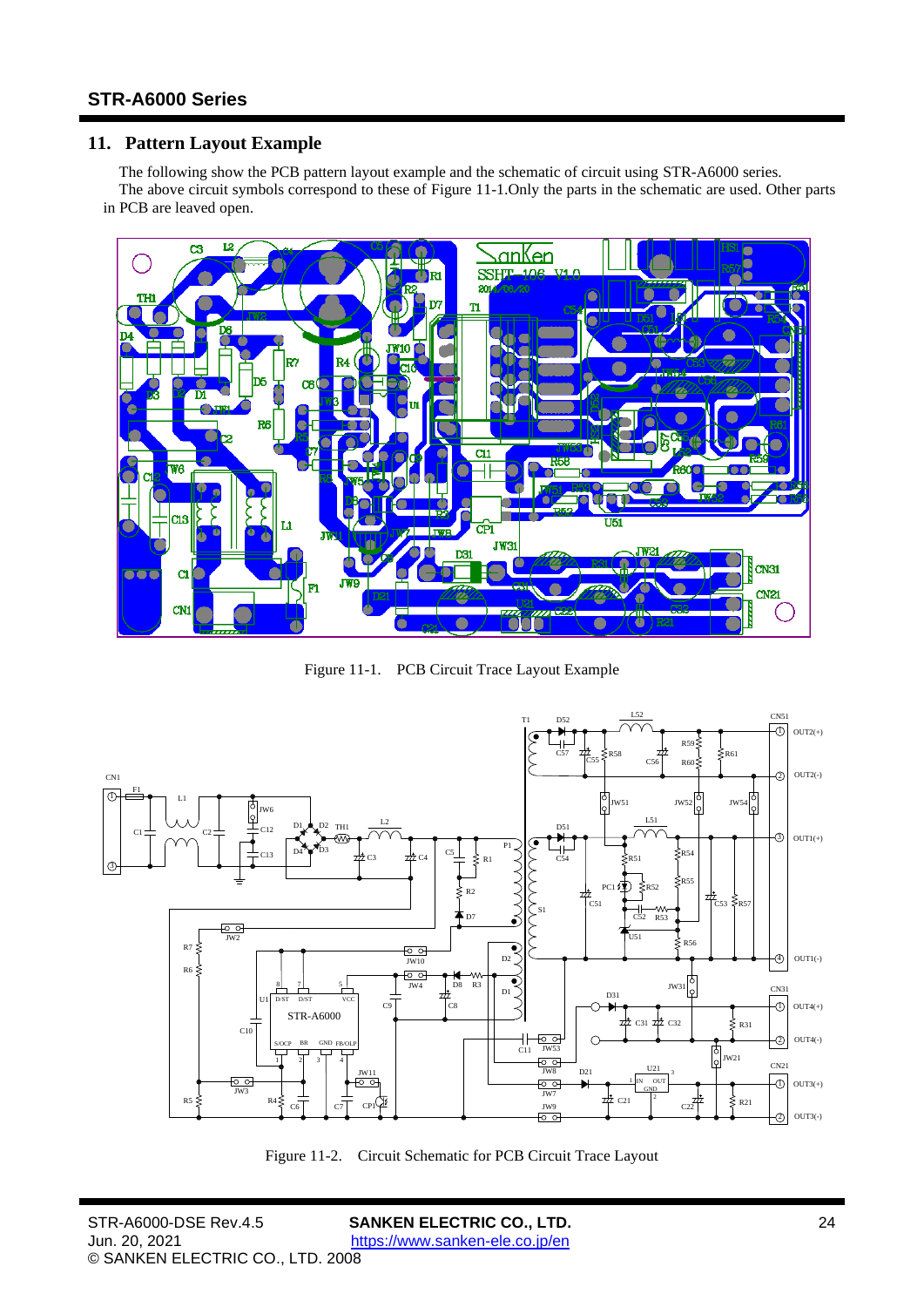# <span id="page-23-0"></span>**11. Pattern Layout Example**

The following show the PCB pattern layout example and the schematic of circuit using [STR-A6000](#page-0-0) series. The above circuit symbols correspond to these of [Figure](#page-23-1) 11-1.Only the parts in the schematic are used. Other parts in PCB are leaved open.



Figure 11-1. PCB Circuit Trace Layout Example

<span id="page-23-1"></span>

Figure 11-2. Circuit Schematic for PCB Circuit Trace Layout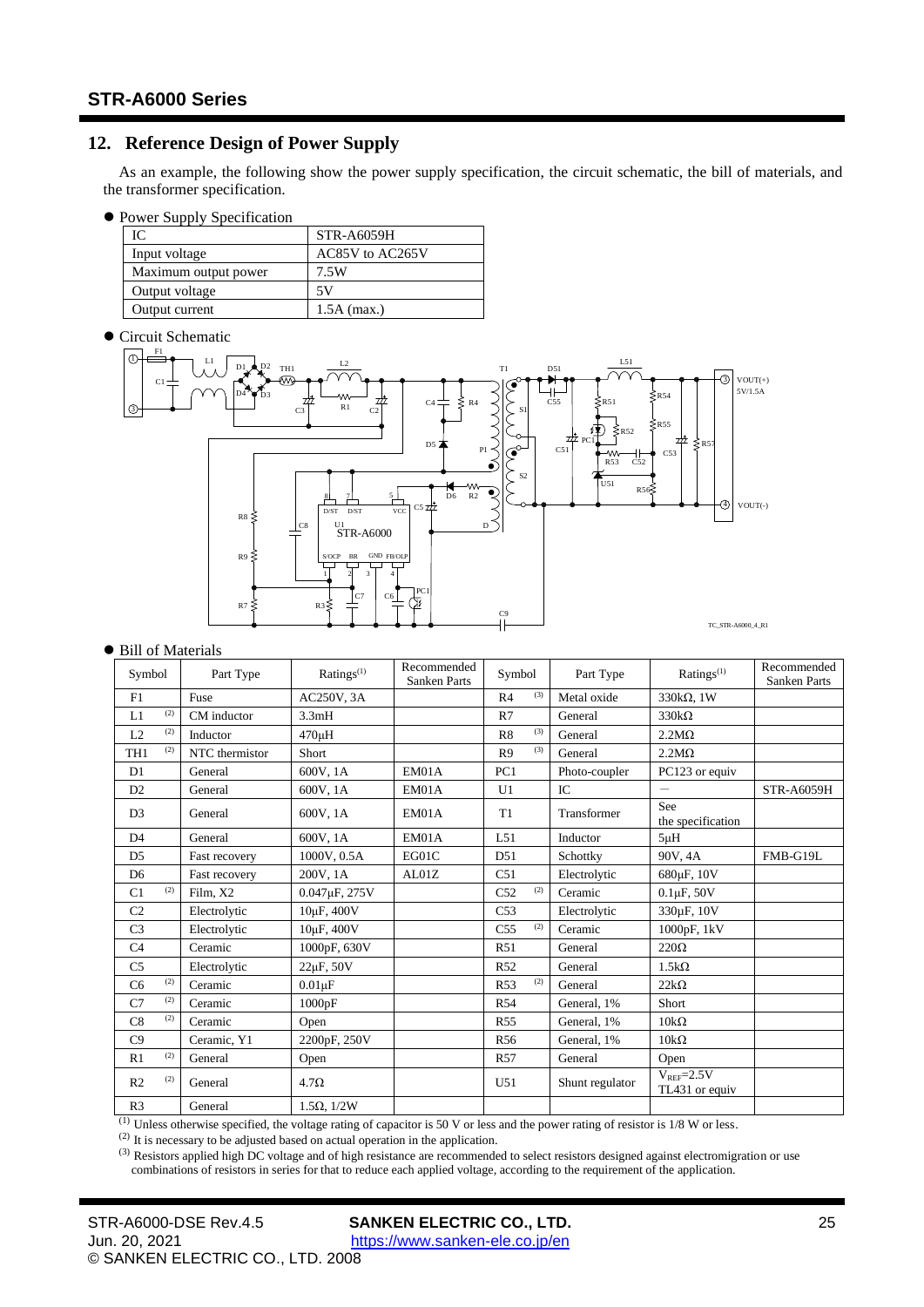# <span id="page-24-0"></span>**12. Reference Design of Power Supply**

As an example, the following show the power supply specification, the circuit schematic, the bill of materials, and the transformer specification.

⚫ Power Supply Specification

| IC                   | <b>STR-A6059H</b> |
|----------------------|-------------------|
| Input voltage        | AC85V to AC265V   |
| Maximum output power | 7.5W              |
| Output voltage       | 5V                |
| Output current       | $1.5A$ (max.)     |

⚫ Circuit Schematic



#### ● Bill of Materials

| Symbol                 | Part Type      | Ratings <sup>(1)</sup>  | Recommended<br><b>Sanken Parts</b> | Symbol                 | Part Type       | $Ratings^{(1)}$                  | Recommended<br>Sanken Parts |
|------------------------|----------------|-------------------------|------------------------------------|------------------------|-----------------|----------------------------------|-----------------------------|
| F1                     | Fuse           | AC250V, 3A              |                                    | (3)<br>R <sub>4</sub>  | Metal oxide     | 330 $k\Omega$ , 1W               |                             |
| (2)<br>L1              | CM inductor    | 3.3mH                   |                                    | R7                     | General         | $330k\Omega$                     |                             |
| (2)<br>L2              | Inductor       | 470uH                   |                                    | (3)<br>R8              | General         | $2.2M\Omega$                     |                             |
| (2)<br>TH <sub>1</sub> | NTC thermistor | Short                   |                                    | (3)<br>R <sub>9</sub>  | General         | $2.2M\Omega$                     |                             |
| D1                     | General        | 600V, 1A                | EM01A                              | PC <sub>1</sub>        | Photo-coupler   | PC123 or equiv                   |                             |
| D2                     | General        | 600V, 1A                | EM01A                              | U1                     | IC              | $\qquad \qquad \qquad$           | <b>STR-A6059H</b>           |
| D <sub>3</sub>         | General        | 600V, 1A                | EM01A                              | T <sub>1</sub>         | Transformer     | See<br>the specification         |                             |
| D <sub>4</sub>         | General        | 600V, 1A                | EM01A                              | L51                    | Inductor        | $5\mu H$                         |                             |
| D <sub>5</sub>         | Fast recovery  | 1000V, 0.5A             | EGO1C                              | D51                    | Schottky        | 90V.4A                           | FMB-G19L                    |
| D <sub>6</sub>         | Fast recovery  | 200V, 1A                | AL01Z                              | C51                    | Electrolytic    | 680µF, 10V                       |                             |
| (2)<br>C1              | Film, X2       | 0.047µF, 275V           |                                    | (2)<br>C52             | Ceramic         | $0.1 \mu F$ , $50V$              |                             |
| C <sub>2</sub>         | Electrolytic   | 10µF, 400V              |                                    | C <sub>53</sub>        | Electrolytic    | 330uF, 10V                       |                             |
| C <sub>3</sub>         | Electrolytic   | 10 <sub>u</sub> F, 400V |                                    | (2)<br>C <sub>55</sub> | Ceramic         | 1000pF, 1kV                      |                             |
| C <sub>4</sub>         | Ceramic        | 1000pF, 630V            |                                    | R51                    | General         | $220\Omega$                      |                             |
| C <sub>5</sub>         | Electrolytic   | $22\mu$ F, $50V$        |                                    | R <sub>52</sub>        | General         | $1.5k\Omega$                     |                             |
| (2)<br>C <sub>6</sub>  | Ceramic        | $0.01\mu F$             |                                    | (2)<br>R <sub>53</sub> | General         | $22k\Omega$                      |                             |
| (2)<br>C7              | Ceramic        | 1000pF                  |                                    | R54                    | General, 1%     | Short                            |                             |
| (2)<br>C8              | Ceramic        | Open                    |                                    | <b>R55</b>             | General, 1%     | $10k\Omega$                      |                             |
| C9                     | Ceramic, Y1    | 2200pF, 250V            |                                    | R <sub>56</sub>        | General, 1%     | $10k\Omega$                      |                             |
| (2)<br>R1              | General        | Open                    |                                    | R <sub>57</sub>        | General         | Open                             |                             |
| (2)<br>R <sub>2</sub>  | General        | $4.7\Omega$             |                                    | U51                    | Shunt regulator | $V_{REF}=2.5V$<br>TL431 or equiv |                             |
| R <sub>3</sub>         | General        | $1.5\Omega$ , $1/2W$    |                                    |                        |                 |                                  |                             |

 $<sup>(1)</sup>$  Unless otherwise specified, the voltage rating of capacitor is 50 V or less and the power rating of resistor is  $1/8$  W or less.</sup>

(2) It is necessary to be adjusted based on actual operation in the application.

<sup>(3)</sup> Resistors applied high DC voltage and of high resistance are recommended to select resistors designed against electromigration or use combinations of resistors in series for that to reduce each applied voltage, according to the requirement of the application.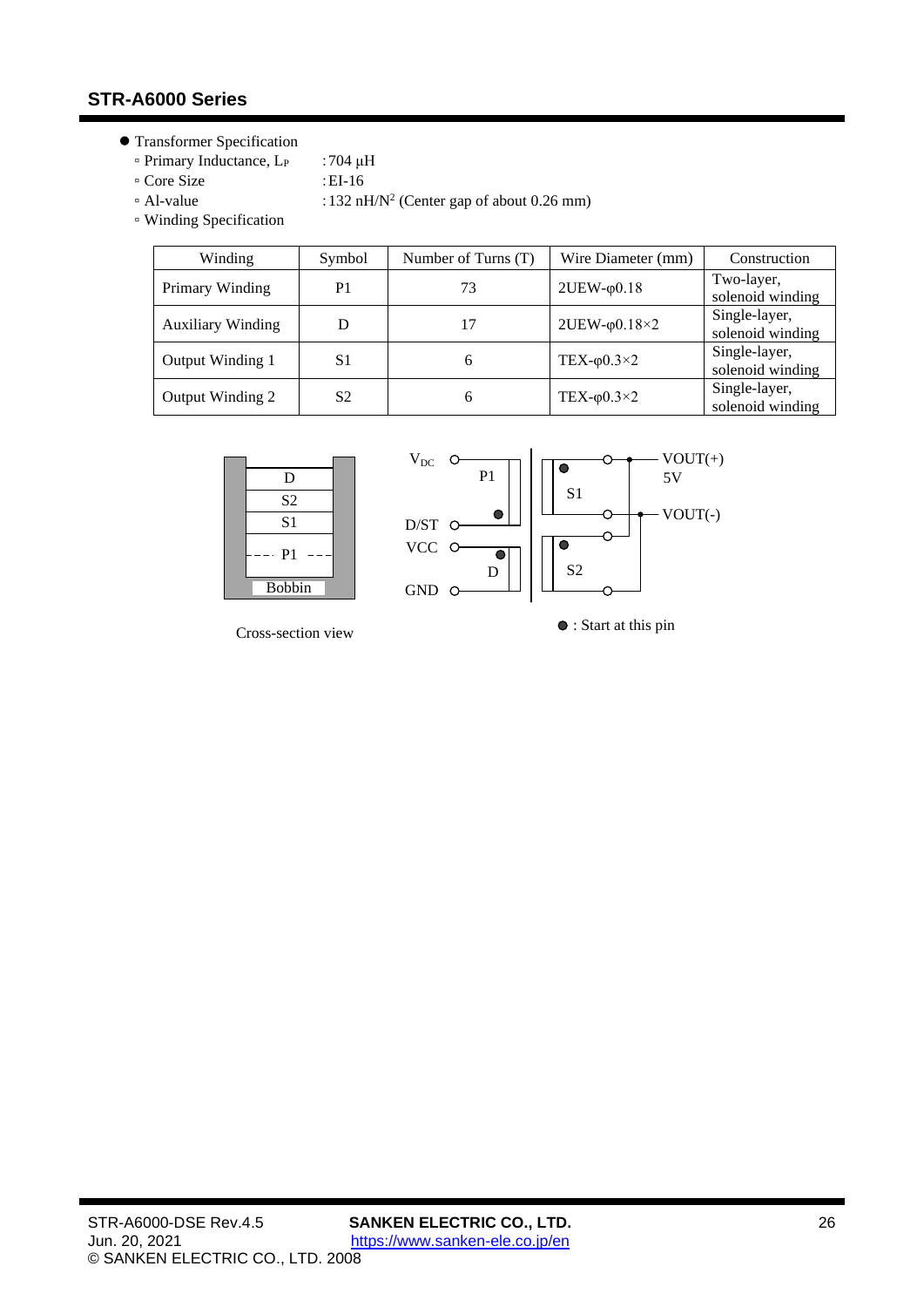- ⚫ Transformer Specification
	- Primary Inductance, L<sup>P</sup> :704 μH
	- Core Size :EI-16
	-
	- $\approx$  Al-value :132 nH/N<sup>2</sup> (Center gap of about 0.26 mm)
	- Winding Specification

| Winding                  | Symbol | Number of Turns (T) | Wire Diameter (mm)        | Construction                      |
|--------------------------|--------|---------------------|---------------------------|-----------------------------------|
| Primary Winding          | P1     | 73                  | $2UEW$ - $\varphi$ 0.18   | Two-layer,<br>solenoid winding    |
| <b>Auxiliary Winding</b> | D      | 17                  | $2UEW$ - $\varphi$ 0.18×2 | Single-layer,<br>solenoid winding |
| Output Winding 1         | S1     | 6                   | TEX- $\varphi$ 0.3×2      | Single-layer,<br>solenoid winding |
| Output Winding 2         | S2     | 6                   | TEX- $\varphi$ 0.3×2      | Single-layer,<br>solenoid winding |



: Start at this pin Cross-section view